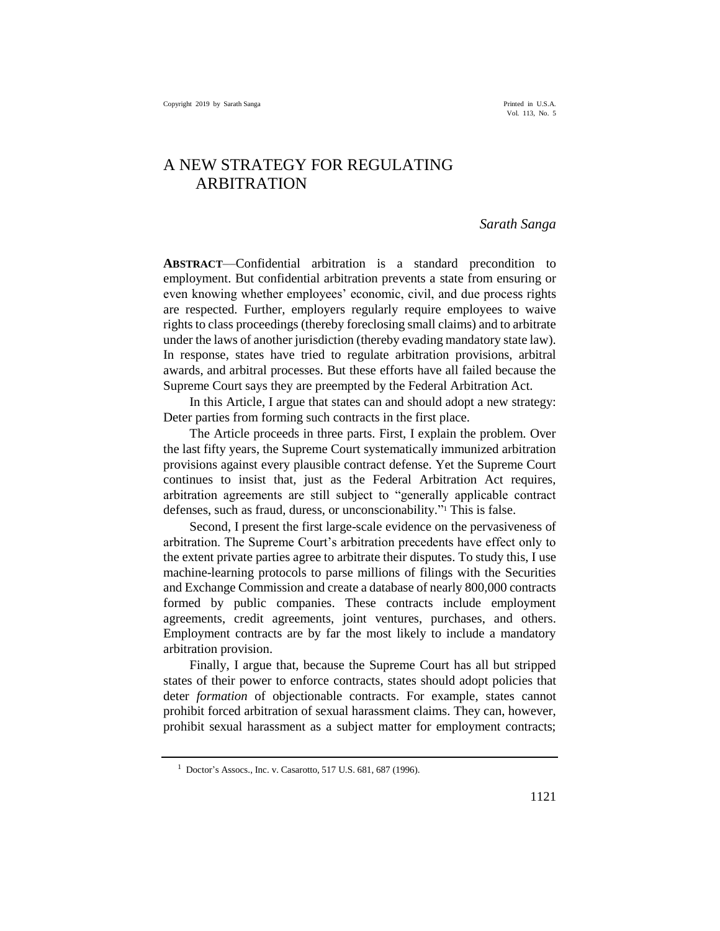Vol. 113, No. 5

# A NEW STRATEGY FOR REGULATING ARBITRATION

### *Sarath Sanga*

**ABSTRACT**—Confidential arbitration is a standard precondition to employment. But confidential arbitration prevents a state from ensuring or even knowing whether employees' economic, civil, and due process rights are respected. Further, employers regularly require employees to waive rights to class proceedings (thereby foreclosing small claims) and to arbitrate under the laws of another jurisdiction (thereby evading mandatory state law). In response, states have tried to regulate arbitration provisions, arbitral awards, and arbitral processes. But these efforts have all failed because the Supreme Court says they are preempted by the Federal Arbitration Act.

In this Article, I argue that states can and should adopt a new strategy: Deter parties from forming such contracts in the first place.

The Article proceeds in three parts. First, I explain the problem. Over the last fifty years, the Supreme Court systematically immunized arbitration provisions against every plausible contract defense. Yet the Supreme Court continues to insist that, just as the Federal Arbitration Act requires, arbitration agreements are still subject to "generally applicable contract defenses, such as fraud, duress, or unconscionability." <sup>1</sup> This is false.

Second, I present the first large-scale evidence on the pervasiveness of arbitration. The Supreme Court's arbitration precedents have effect only to the extent private parties agree to arbitrate their disputes. To study this, I use machine-learning protocols to parse millions of filings with the Securities and Exchange Commission and create a database of nearly 800,000 contracts formed by public companies. These contracts include employment agreements, credit agreements, joint ventures, purchases, and others. Employment contracts are by far the most likely to include a mandatory arbitration provision.

Finally, I argue that, because the Supreme Court has all but stripped states of their power to enforce contracts, states should adopt policies that deter *formation* of objectionable contracts. For example, states cannot prohibit forced arbitration of sexual harassment claims. They can, however, prohibit sexual harassment as a subject matter for employment contracts;

<sup>1</sup> Doctor's Assocs., Inc. v. Casarotto, 517 U.S. 681, 687 (1996).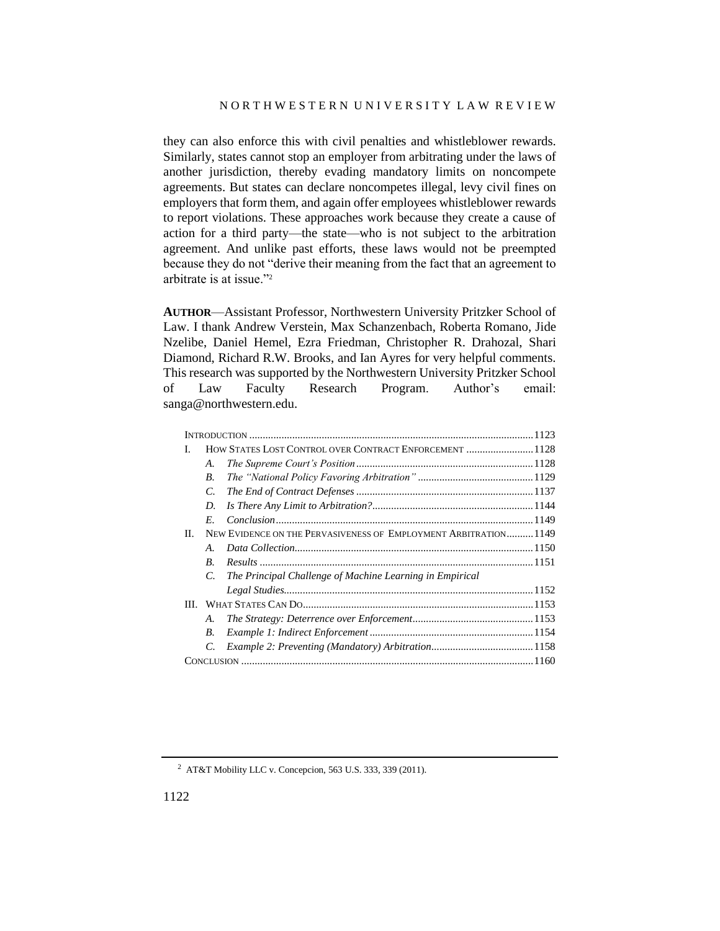they can also enforce this with civil penalties and whistleblower rewards. Similarly, states cannot stop an employer from arbitrating under the laws of another jurisdiction, thereby evading mandatory limits on noncompete agreements. But states can declare noncompetes illegal, levy civil fines on employers that form them, and again offer employees whistleblower rewards to report violations. These approaches work because they create a cause of action for a third party—the state—who is not subject to the arbitration agreement. And unlike past efforts, these laws would not be preempted because they do not "derive their meaning from the fact that an agreement to arbitrate is at issue."<sup>2</sup>

**AUTHOR**—Assistant Professor, Northwestern University Pritzker School of Law. I thank Andrew Verstein, Max Schanzenbach, Roberta Romano, Jide Nzelibe, Daniel Hemel, Ezra Friedman, Christopher R. Drahozal, Shari Diamond, Richard R.W. Brooks, and Ian Ayres for very helpful comments. This research was supported by the Northwestern University Pritzker School of Law Faculty Research Program. Author's email: sanga@northwestern.edu.

| I. |                | HOW STATES LOST CONTROL OVER CONTRACT ENFORCEMENT  1128         |  |
|----|----------------|-----------------------------------------------------------------|--|
|    | A.             |                                                                 |  |
|    | В.             |                                                                 |  |
|    | C.             |                                                                 |  |
|    | D.             |                                                                 |  |
|    | Е.             |                                                                 |  |
| П. |                | NEW EVIDENCE ON THE PERVASIVENESS OF EMPLOYMENT ARBITRATION1149 |  |
|    | $\mathbf{A}$ . |                                                                 |  |
|    | B.             |                                                                 |  |
|    | C.             | The Principal Challenge of Machine Learning in Empirical        |  |
|    |                |                                                                 |  |
|    |                |                                                                 |  |
|    | А.             |                                                                 |  |
|    | В.             |                                                                 |  |
|    | C.             |                                                                 |  |
|    |                |                                                                 |  |
|    |                |                                                                 |  |

<sup>2</sup> AT&T Mobility LLC v. Concepcion, 563 U.S. 333, 339 (2011).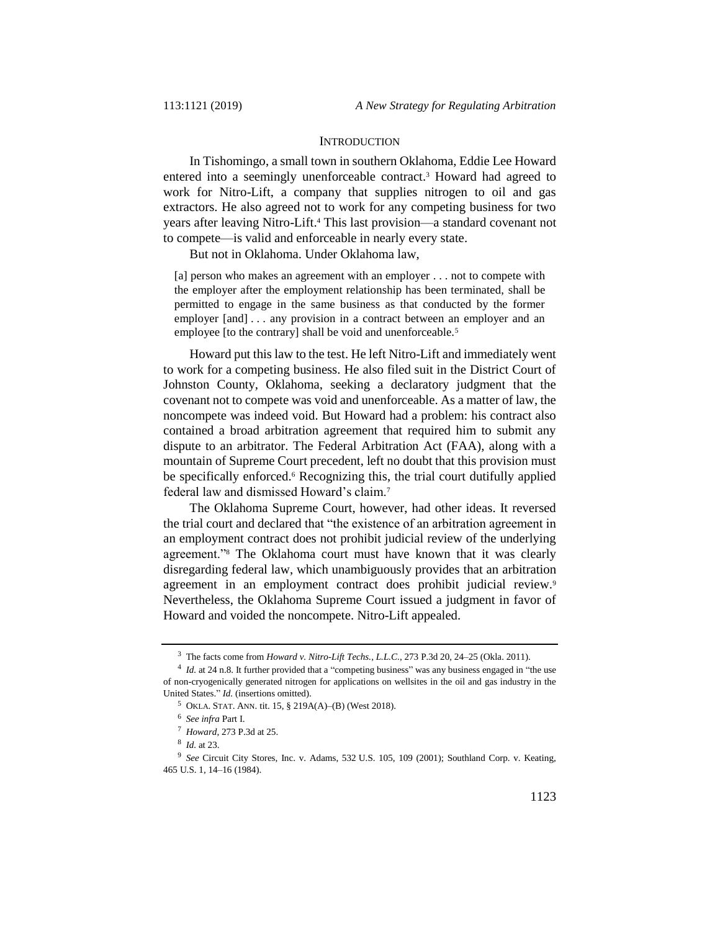#### **INTRODUCTION**

In Tishomingo, a small town in southern Oklahoma, Eddie Lee Howard entered into a seemingly unenforceable contract.<sup>3</sup> Howard had agreed to work for Nitro-Lift, a company that supplies nitrogen to oil and gas extractors. He also agreed not to work for any competing business for two years after leaving Nitro-Lift.<sup>4</sup> This last provision—a standard covenant not to compete—is valid and enforceable in nearly every state.

But not in Oklahoma. Under Oklahoma law,

[a] person who makes an agreement with an employer . . . not to compete with the employer after the employment relationship has been terminated, shall be permitted to engage in the same business as that conducted by the former employer [and] . . . any provision in a contract between an employer and an employee [to the contrary] shall be void and unenforceable.<sup>5</sup>

Howard put this law to the test. He left Nitro-Lift and immediately went to work for a competing business. He also filed suit in the District Court of Johnston County, Oklahoma, seeking a declaratory judgment that the covenant not to compete was void and unenforceable. As a matter of law, the noncompete was indeed void. But Howard had a problem: his contract also contained a broad arbitration agreement that required him to submit any dispute to an arbitrator. The Federal Arbitration Act (FAA), along with a mountain of Supreme Court precedent, left no doubt that this provision must be specifically enforced.<sup>6</sup> Recognizing this, the trial court dutifully applied federal law and dismissed Howard's claim.<sup>7</sup>

The Oklahoma Supreme Court, however, had other ideas. It reversed the trial court and declared that "the existence of an arbitration agreement in an employment contract does not prohibit judicial review of the underlying agreement."<sup>8</sup> The Oklahoma court must have known that it was clearly disregarding federal law, which unambiguously provides that an arbitration agreement in an employment contract does prohibit judicial review.<sup>9</sup> Nevertheless, the Oklahoma Supreme Court issued a judgment in favor of Howard and voided the noncompete. Nitro-Lift appealed.

<sup>3</sup> The facts come from *Howard v. Nitro-Lift Techs., L.L.C.*, 273 P.3d 20, 24–25 (Okla. 2011).

<sup>&</sup>lt;sup>4</sup> *Id.* at 24 n.8. It further provided that a "competing business" was any business engaged in "the use of non-cryogenically generated nitrogen for applications on wellsites in the oil and gas industry in the United States." *Id.* (insertions omitted).

<sup>5</sup> OKLA. STAT. ANN. tit. 15, § 219A(A)–(B) (West 2018).

<sup>6</sup> *See infra* Part I.

<sup>7</sup> *Howard*, 273 P.3d at 25.

<sup>8</sup> *Id.* at 23.

<sup>9</sup> *See* Circuit City Stores, Inc. v. Adams, 532 U.S. 105, 109 (2001); Southland Corp. v. Keating, 465 U.S. 1, 14–16 (1984).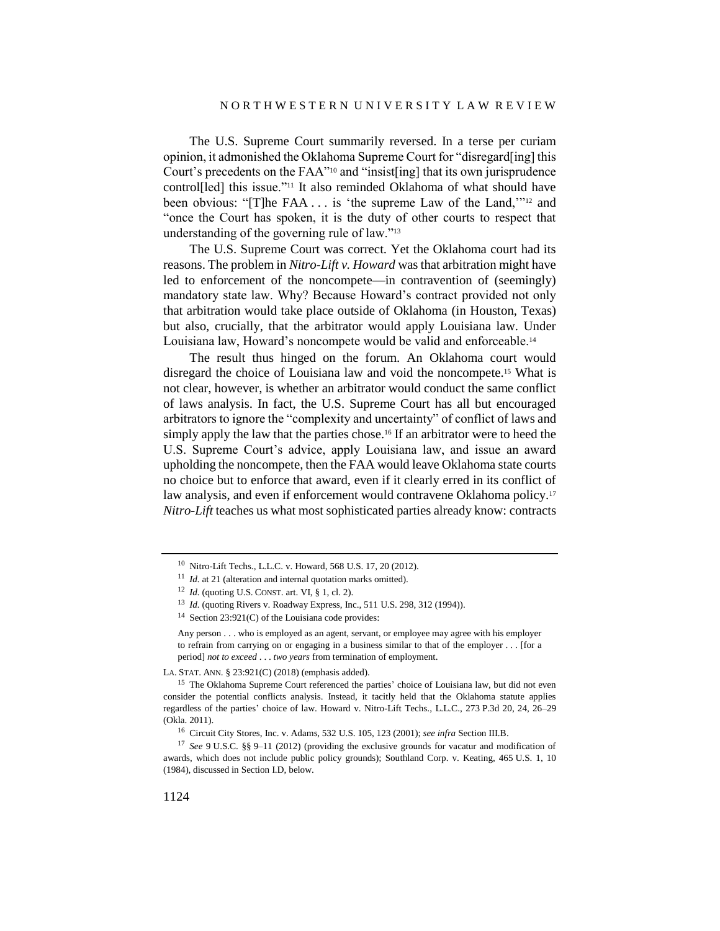The U.S. Supreme Court summarily reversed. In a terse per curiam opinion, it admonished the Oklahoma Supreme Court for "disregard[ing] this Court's precedents on the FAA"<sup>10</sup> and "insist[ing] that its own jurisprudence control[led] this issue."<sup>11</sup> It also reminded Oklahoma of what should have been obvious: "[T]he FAA . . . is 'the supreme Law of the Land,'"<sup>12</sup> and "once the Court has spoken, it is the duty of other courts to respect that understanding of the governing rule of law."<sup>13</sup>

The U.S. Supreme Court was correct. Yet the Oklahoma court had its reasons. The problem in *Nitro-Lift v. Howard* was that arbitration might have led to enforcement of the noncompete—in contravention of (seemingly) mandatory state law. Why? Because Howard's contract provided not only that arbitration would take place outside of Oklahoma (in Houston, Texas) but also, crucially, that the arbitrator would apply Louisiana law. Under Louisiana law, Howard's noncompete would be valid and enforceable.<sup>14</sup>

The result thus hinged on the forum. An Oklahoma court would disregard the choice of Louisiana law and void the noncompete.<sup>15</sup> What is not clear, however, is whether an arbitrator would conduct the same conflict of laws analysis. In fact, the U.S. Supreme Court has all but encouraged arbitrators to ignore the "complexity and uncertainty" of conflict of laws and simply apply the law that the parties chose.<sup>16</sup> If an arbitrator were to heed the U.S. Supreme Court's advice, apply Louisiana law, and issue an award upholding the noncompete, then the FAA would leave Oklahoma state courts no choice but to enforce that award, even if it clearly erred in its conflict of law analysis, and even if enforcement would contravene Oklahoma policy.<sup>17</sup> *Nitro-Lift* teaches us what most sophisticated parties already know: contracts

LA. STAT. ANN. § 23:921(C) (2018) (emphasis added).

<sup>10</sup> Nitro-Lift Techs., L.L.C. v. Howard, 568 U.S. 17, 20 (2012).

<sup>&</sup>lt;sup>11</sup> *Id.* at 21 (alteration and internal quotation marks omitted).

<sup>12</sup> *Id.* (quoting U.S. CONST. art. VI, § 1, cl. 2).

<sup>13</sup> *Id.* (quoting Rivers v. Roadway Express, Inc., 511 U.S. 298, 312 (1994)).

<sup>&</sup>lt;sup>14</sup> Section 23:921(C) of the Louisiana code provides:

Any person . . . who is employed as an agent, servant, or employee may agree with his employer to refrain from carrying on or engaging in a business similar to that of the employer . . . [for a period] *not to exceed* . . . *two years* from termination of employment.

<sup>&</sup>lt;sup>15</sup> The Oklahoma Supreme Court referenced the parties' choice of Louisiana law, but did not even consider the potential conflicts analysis. Instead, it tacitly held that the Oklahoma statute applies regardless of the parties' choice of law. Howard v. Nitro-Lift Techs., L.L.C., 273 P.3d 20, 24, 26–29 (Okla. 2011).

<sup>16</sup> Circuit City Stores, Inc. v. Adams, 532 U.S. 105, 123 (2001); *see infra* Section III.B.

<sup>17</sup> *See* 9 U.S.C. §§ 9–11 (2012) (providing the exclusive grounds for vacatur and modification of awards, which does not include public policy grounds); Southland Corp. v. Keating, 465 U.S. 1, 10 (1984), discussed in Section I.D, below.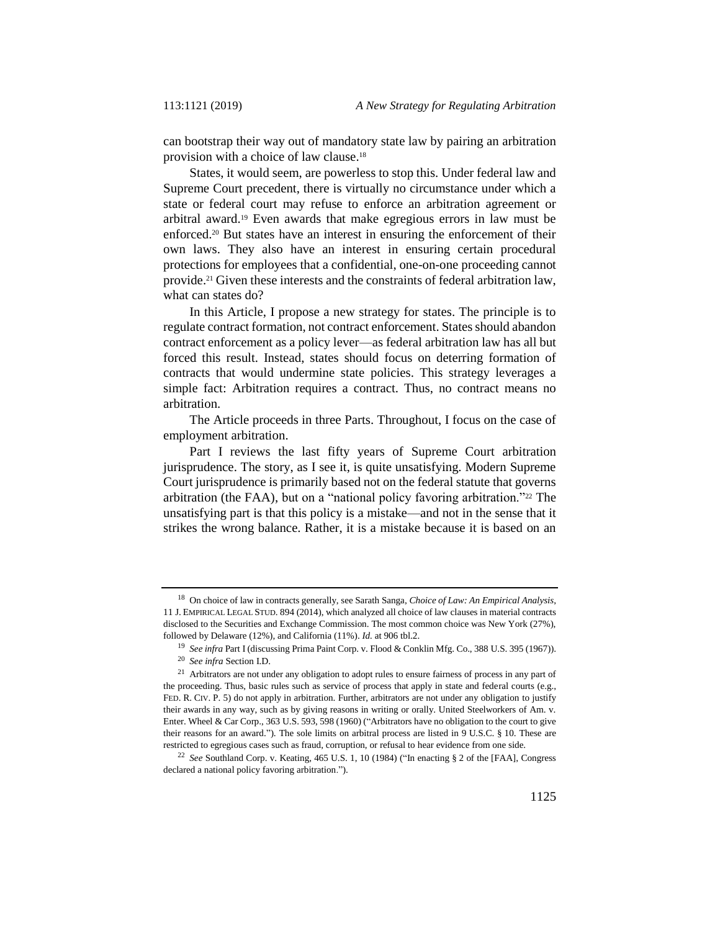can bootstrap their way out of mandatory state law by pairing an arbitration provision with a choice of law clause.<sup>18</sup>

States, it would seem, are powerless to stop this. Under federal law and Supreme Court precedent, there is virtually no circumstance under which a state or federal court may refuse to enforce an arbitration agreement or arbitral award.<sup>19</sup> Even awards that make egregious errors in law must be enforced.<sup>20</sup> But states have an interest in ensuring the enforcement of their own laws. They also have an interest in ensuring certain procedural protections for employees that a confidential, one-on-one proceeding cannot provide.<sup>21</sup> Given these interests and the constraints of federal arbitration law, what can states do?

In this Article, I propose a new strategy for states. The principle is to regulate contract formation, not contract enforcement. States should abandon contract enforcement as a policy lever—as federal arbitration law has all but forced this result. Instead, states should focus on deterring formation of contracts that would undermine state policies. This strategy leverages a simple fact: Arbitration requires a contract. Thus, no contract means no arbitration.

The Article proceeds in three Parts. Throughout, I focus on the case of employment arbitration.

Part I reviews the last fifty years of Supreme Court arbitration jurisprudence. The story, as I see it, is quite unsatisfying. Modern Supreme Court jurisprudence is primarily based not on the federal statute that governs arbitration (the FAA), but on a "national policy favoring arbitration."<sup>22</sup> The unsatisfying part is that this policy is a mistake—and not in the sense that it strikes the wrong balance. Rather, it is a mistake because it is based on an

<sup>18</sup> On choice of law in contracts generally, see Sarath Sanga, *Choice of Law: An Empirical Analysis*, 11 J. EMPIRICAL LEGAL STUD. 894 (2014), which analyzed all choice of law clauses in material contracts disclosed to the Securities and Exchange Commission. The most common choice was New York (27%), followed by Delaware (12%), and California (11%). *Id.* at 906 tbl.2.

<sup>19</sup> *See infra* Part I (discussing Prima Paint Corp. v. Flood & Conklin Mfg. Co., 388 U.S. 395 (1967)).

<sup>20</sup> *See infra* Section I.D.

<sup>&</sup>lt;sup>21</sup> Arbitrators are not under any obligation to adopt rules to ensure fairness of process in any part of the proceeding. Thus, basic rules such as service of process that apply in state and federal courts (e.g., FED. R. CIV. P. 5) do not apply in arbitration. Further, arbitrators are not under any obligation to justify their awards in any way, such as by giving reasons in writing or orally. United Steelworkers of Am. v. Enter. Wheel & Car Corp., 363 U.S. 593, 598 (1960) ("Arbitrators have no obligation to the court to give their reasons for an award."). The sole limits on arbitral process are listed in 9 U.S.C. § 10. These are restricted to egregious cases such as fraud, corruption, or refusal to hear evidence from one side.

<sup>22</sup> *See* Southland Corp. v. Keating, 465 U.S. 1, 10 (1984) ("In enacting § 2 of the [FAA], Congress declared a national policy favoring arbitration.").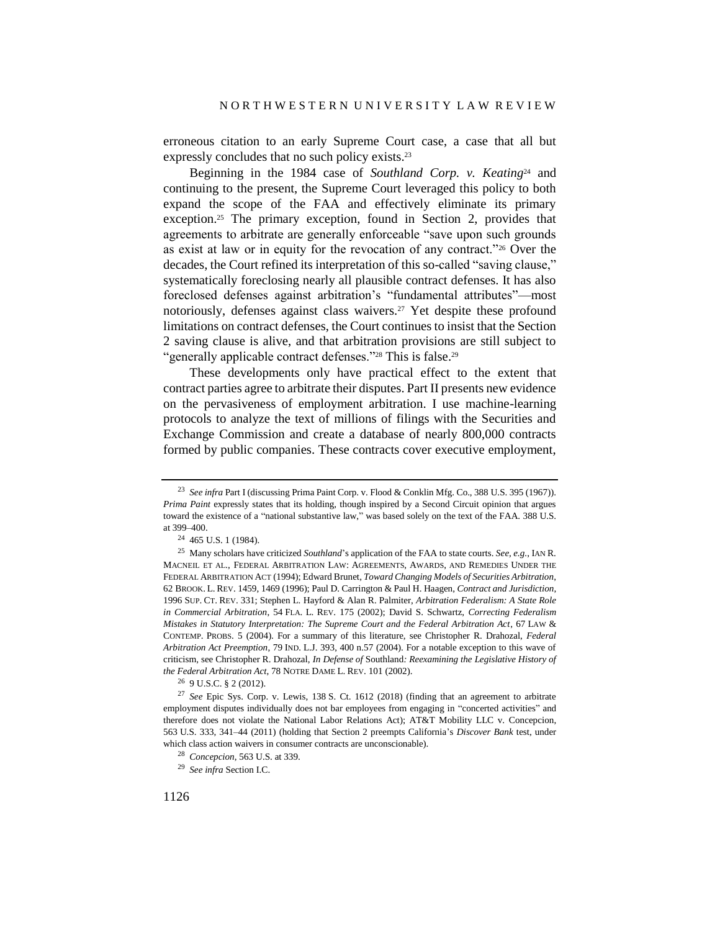erroneous citation to an early Supreme Court case, a case that all but expressly concludes that no such policy exists.<sup>23</sup>

<span id="page-5-0"></span>Beginning in the 1984 case of *Southland Corp. v. Keating*<sup>24</sup> and continuing to the present, the Supreme Court leveraged this policy to both expand the scope of the FAA and effectively eliminate its primary exception.<sup>25</sup> The primary exception, found in Section 2, provides that agreements to arbitrate are generally enforceable "save upon such grounds as exist at law or in equity for the revocation of any contract."<sup>26</sup> Over the decades, the Court refined its interpretation of this so-called "saving clause," systematically foreclosing nearly all plausible contract defenses. It has also foreclosed defenses against arbitration's "fundamental attributes"—most notoriously, defenses against class waivers.<sup>27</sup> Yet despite these profound limitations on contract defenses, the Court continues to insist that the Section 2 saving clause is alive, and that arbitration provisions are still subject to "generally applicable contract defenses."<sup>28</sup> This is false.<sup>29</sup>

These developments only have practical effect to the extent that contract parties agree to arbitrate their disputes. Part II presents new evidence on the pervasiveness of employment arbitration. I use machine-learning protocols to analyze the text of millions of filings with the Securities and Exchange Commission and create a database of nearly 800,000 contracts formed by public companies. These contracts cover executive employment,

 $26$  9 U.S.C.  $82(2012)$ .

<sup>23</sup> *See infra* Par[t I](#page-7-0) (discussing Prima Paint Corp. v. Flood & Conklin Mfg. Co., 388 U.S. 395 (1967)). *Prima Paint* expressly states that its holding, though inspired by a Second Circuit opinion that argues toward the existence of a "national substantive law," was based solely on the text of the FAA. 388 U.S. at 399–400.

<sup>24</sup> 465 U.S. 1 (1984).

<sup>25</sup> Many scholars have criticized *Southland*'s application of the FAA to state courts. *See, e.g.*, IAN R. MACNEIL ET AL., FEDERAL ARBITRATION LAW: AGREEMENTS, AWARDS, AND REMEDIES UNDER THE FEDERAL ARBITRATION ACT (1994); Edward Brunet, *Toward Changing Models of Securities Arbitration*, 62 BROOK. L. REV. 1459, 1469 (1996); Paul D. Carrington & Paul H. Haagen, *Contract and Jurisdiction*, 1996 SUP. CT. REV. 331; Stephen L. Hayford & Alan R. Palmiter, *Arbitration Federalism: A State Role in Commercial Arbitration*, 54 FLA. L. REV. 175 (2002); David S. Schwartz, *Correcting Federalism Mistakes in Statutory Interpretation: The Supreme Court and the Federal Arbitration Act*, 67 LAW & CONTEMP. PROBS. 5 (2004). For a summary of this literature, see Christopher R. Drahozal, *Federal Arbitration Act Preemption*, 79 IND. L.J. 393, 400 n.57 (2004). For a notable exception to this wave of criticism, see Christopher R. Drahozal, *In Defense of* Southland*: Reexamining the Legislative History of the Federal Arbitration Act*, 78 NOTRE DAME L. REV. 101 (2002).

<sup>27</sup> *See* Epic Sys. Corp. v. Lewis, 138 S. Ct. 1612 (2018) (finding that an agreement to arbitrate employment disputes individually does not bar employees from engaging in "concerted activities" and therefore does not violate the National Labor Relations Act); AT&T Mobility LLC v. Concepcion, 563 U.S. 333, 341–44 (2011) (holding that Section 2 preempts California's *Discover Bank* test, under which class action waivers in consumer contracts are unconscionable).

<sup>28</sup> *Concepcion*, 563 U.S. at 339.

<sup>29</sup> *See infra* Section I.C.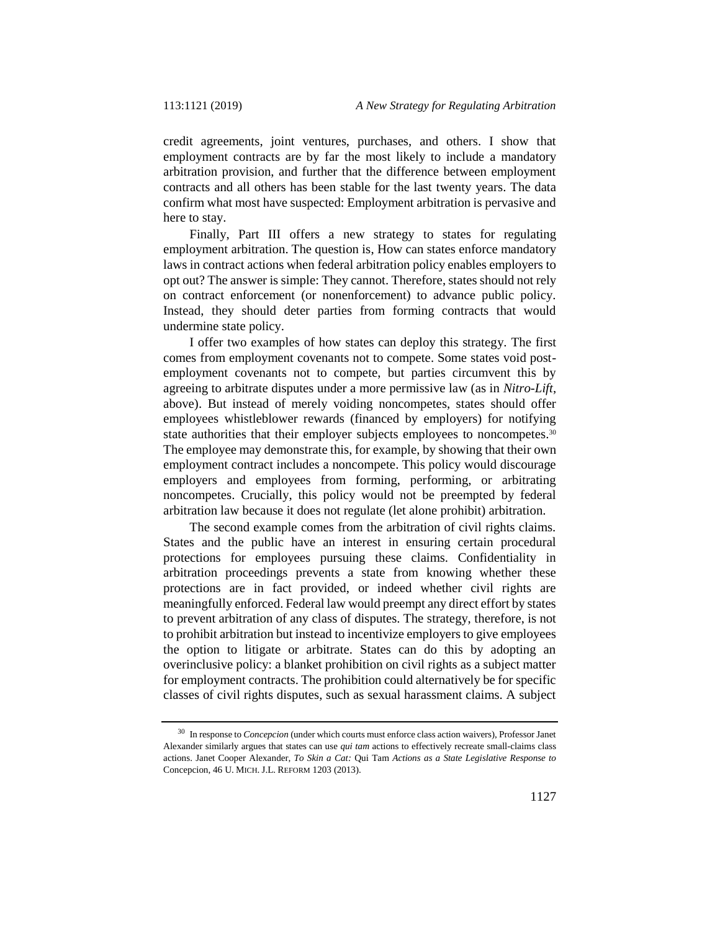credit agreements, joint ventures, purchases, and others. I show that employment contracts are by far the most likely to include a mandatory arbitration provision, and further that the difference between employment contracts and all others has been stable for the last twenty years. The data confirm what most have suspected: Employment arbitration is pervasive and here to stay.

Finally, Part III offers a new strategy to states for regulating employment arbitration. The question is, How can states enforce mandatory laws in contract actions when federal arbitration policy enables employers to opt out? The answer is simple: They cannot. Therefore, states should not rely on contract enforcement (or nonenforcement) to advance public policy. Instead, they should deter parties from forming contracts that would undermine state policy.

I offer two examples of how states can deploy this strategy. The first comes from employment covenants not to compete. Some states void postemployment covenants not to compete, but parties circumvent this by agreeing to arbitrate disputes under a more permissive law (as in *Nitro-Lift*, above). But instead of merely voiding noncompetes, states should offer employees whistleblower rewards (financed by employers) for notifying state authorities that their employer subjects employees to noncompetes.<sup>30</sup> The employee may demonstrate this, for example, by showing that their own employment contract includes a noncompete. This policy would discourage employers and employees from forming, performing, or arbitrating noncompetes. Crucially, this policy would not be preempted by federal arbitration law because it does not regulate (let alone prohibit) arbitration.

The second example comes from the arbitration of civil rights claims. States and the public have an interest in ensuring certain procedural protections for employees pursuing these claims. Confidentiality in arbitration proceedings prevents a state from knowing whether these protections are in fact provided, or indeed whether civil rights are meaningfully enforced. Federal law would preempt any direct effort by states to prevent arbitration of any class of disputes. The strategy, therefore, is not to prohibit arbitration but instead to incentivize employers to give employees the option to litigate or arbitrate. States can do this by adopting an overinclusive policy: a blanket prohibition on civil rights as a subject matter for employment contracts. The prohibition could alternatively be for specific classes of civil rights disputes, such as sexual harassment claims. A subject

<sup>30</sup> In response to *Concepcion* (under which courts must enforce class action waivers), Professor Janet Alexander similarly argues that states can use *qui tam* actions to effectively recreate small-claims class actions. Janet Cooper Alexander, *To Skin a Cat:* Qui Tam *Actions as a State Legislative Response to*  Concepcion, 46 U. MICH. J.L. REFORM 1203 (2013).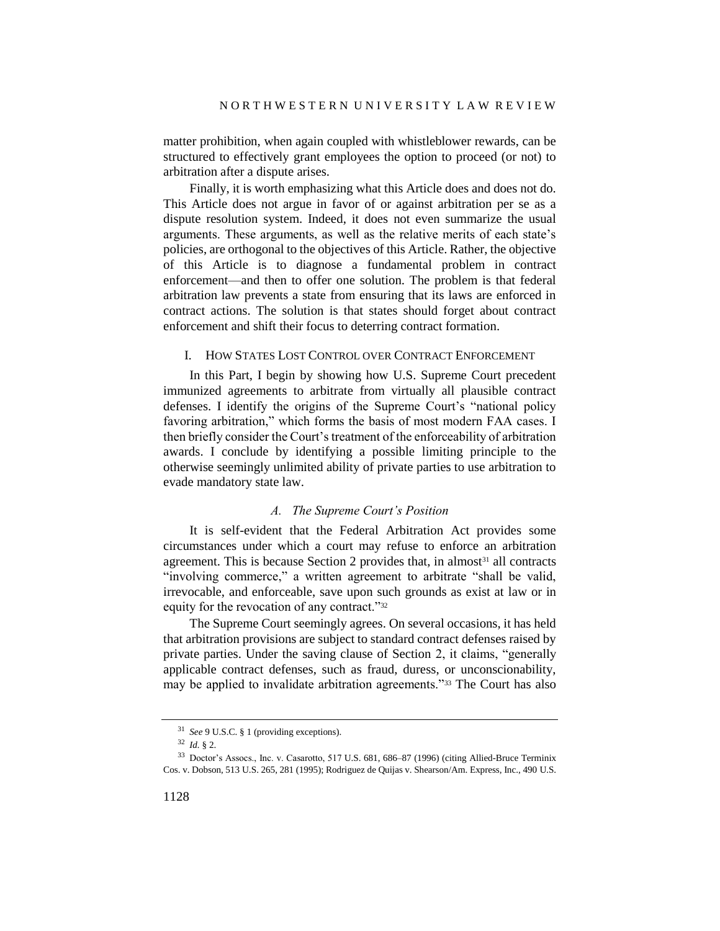matter prohibition, when again coupled with whistleblower rewards, can be structured to effectively grant employees the option to proceed (or not) to arbitration after a dispute arises.

Finally, it is worth emphasizing what this Article does and does not do. This Article does not argue in favor of or against arbitration per se as a dispute resolution system. Indeed, it does not even summarize the usual arguments. These arguments, as well as the relative merits of each state's policies, are orthogonal to the objectives of this Article. Rather, the objective of this Article is to diagnose a fundamental problem in contract enforcement—and then to offer one solution. The problem is that federal arbitration law prevents a state from ensuring that its laws are enforced in contract actions. The solution is that states should forget about contract enforcement and shift their focus to deterring contract formation.

### <span id="page-7-0"></span>I. HOW STATES LOST CONTROL OVER CONTRACT ENFORCEMENT

In this Part, I begin by showing how U.S. Supreme Court precedent immunized agreements to arbitrate from virtually all plausible contract defenses. I identify the origins of the Supreme Court's "national policy favoring arbitration," which forms the basis of most modern FAA cases. I then briefly consider the Court's treatment of the enforceability of arbitration awards. I conclude by identifying a possible limiting principle to the otherwise seemingly unlimited ability of private parties to use arbitration to evade mandatory state law.

### *A. The Supreme Court's Position*

It is self-evident that the Federal Arbitration Act provides some circumstances under which a court may refuse to enforce an arbitration agreement. This is because Section 2 provides that, in almost<sup>31</sup> all contracts "involving commerce," a written agreement to arbitrate "shall be valid, irrevocable, and enforceable, save upon such grounds as exist at law or in equity for the revocation of any contract."<sup>32</sup>

The Supreme Court seemingly agrees. On several occasions, it has held that arbitration provisions are subject to standard contract defenses raised by private parties. Under the saving clause of Section 2, it claims, "generally applicable contract defenses, such as fraud, duress, or unconscionability, may be applied to invalidate arbitration agreements."<sup>33</sup> The Court has also

<sup>31</sup> *See* 9 U.S.C. § 1 (providing exceptions).

<sup>32</sup> *Id.* § 2.

<sup>33</sup> Doctor's Assocs., Inc. v. Casarotto, 517 U.S. 681, 686–87 (1996) (citing Allied-Bruce Terminix Cos. v. Dobson, 513 U.S. 265, 281 (1995); Rodriguez de Quijas v. Shearson/Am. Express, Inc., 490 U.S.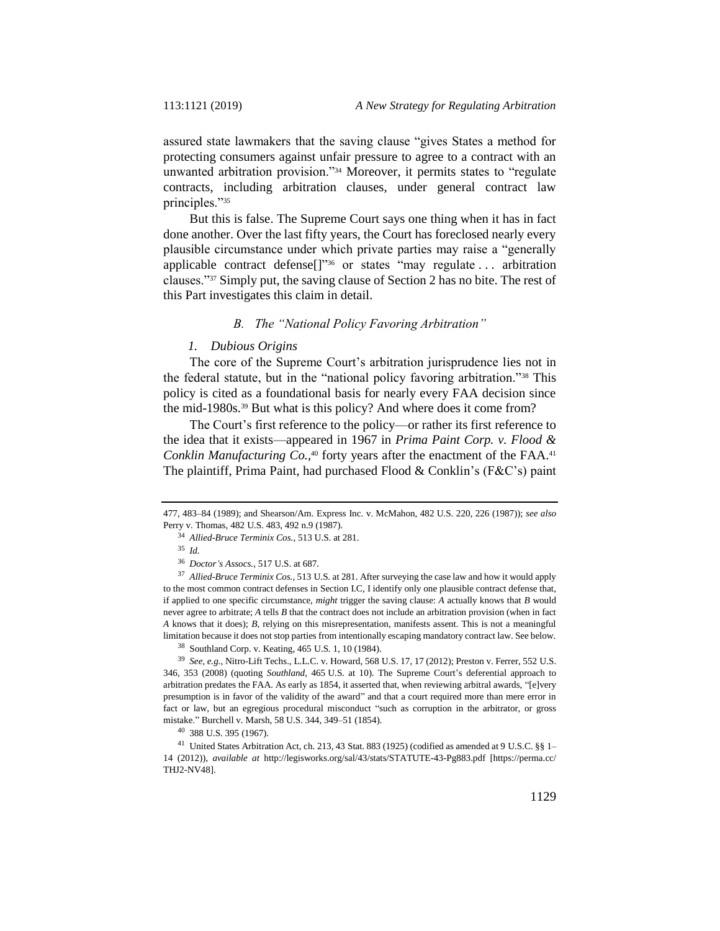assured state lawmakers that the saving clause "gives States a method for protecting consumers against unfair pressure to agree to a contract with an unwanted arbitration provision."<sup>34</sup> Moreover, it permits states to "regulate contracts, including arbitration clauses, under general contract law principles."<sup>35</sup>

But this is false. The Supreme Court says one thing when it has in fact done another. Over the last fifty years, the Court has foreclosed nearly every plausible circumstance under which private parties may raise a "generally applicable contract defense[]" <sup>36</sup> or states "may regulate . . . arbitration clauses."<sup>37</sup> Simply put, the saving clause of Section 2 has no bite. The rest of this Part investigates this claim in detail.

### *B. The "National Policy Favoring Arbitration"*

#### *1. Dubious Origins*

The core of the Supreme Court's arbitration jurisprudence lies not in the federal statute, but in the "national policy favoring arbitration."<sup>38</sup> This policy is cited as a foundational basis for nearly every FAA decision since the mid-1980s.<sup>39</sup> But what is this policy? And where does it come from?

The Court's first reference to the policy—or rather its first reference to the idea that it exists—appeared in 1967 in *Prima Paint Corp. v. Flood & Conklin Manufacturing Co.*, <sup>40</sup> forty years after the enactment of the FAA.<sup>41</sup> The plaintiff, Prima Paint, had purchased Flood & Conklin's (F&C's) paint

<sup>38</sup> Southland Corp. v. Keating, 465 U.S. 1, 10 (1984).

<sup>477, 483–84 (1989);</sup> and Shearson/Am. Express Inc. v. McMahon, 482 U.S. 220, 226 (1987)); *see also* Perry v. Thomas, 482 U.S. 483, 492 n.9 (1987).

<sup>34</sup> *Allied-Bruce Terminix Cos.*, 513 U.S. at 281.

<sup>35</sup> *Id.*

<sup>36</sup> *Doctor's Assocs.*, 517 U.S. at 687.

<sup>37</sup> *Allied-Bruce Terminix Cos.*, 513 U.S. at 281. After surveying the case law and how it would apply to the most common contract defenses in Section I.C, I identify only one plausible contract defense that, if applied to one specific circumstance, *might* trigger the saving clause: *A* actually knows that *B* would never agree to arbitrate; *A* tells *B* that the contract does not include an arbitration provision (when in fact *A* knows that it does); *B*, relying on this misrepresentation, manifests assent. This is not a meaningful limitation because it does not stop parties from intentionally escaping mandatory contract law. See below.

<sup>39</sup> *See, e.g.*, Nitro-Lift Techs., L.L.C. v. Howard, 568 U.S. 17, 17 (2012); Preston v. Ferrer, 552 U.S. 346, 353 (2008) (quoting *Southland*, 465 U.S. at 10). The Supreme Court's deferential approach to arbitration predates the FAA. As early as 1854, it asserted that, when reviewing arbitral awards, "[e]very presumption is in favor of the validity of the award" and that a court required more than mere error in fact or law, but an egregious procedural misconduct "such as corruption in the arbitrator, or gross mistake." Burchell v. Marsh, 58 U.S. 344, 349–51 (1854).

<sup>40</sup> 388 U.S. 395 (1967).

<sup>41</sup> United States Arbitration Act, ch. 213, 43 Stat. 883 (1925) (codified as amended at 9 U.S.C. §§ 1– 14 (2012)), *available at* http://legisworks.org/sal/43/stats/STATUTE-43-Pg883.pdf [https://perma.cc/ THJ2-NV48].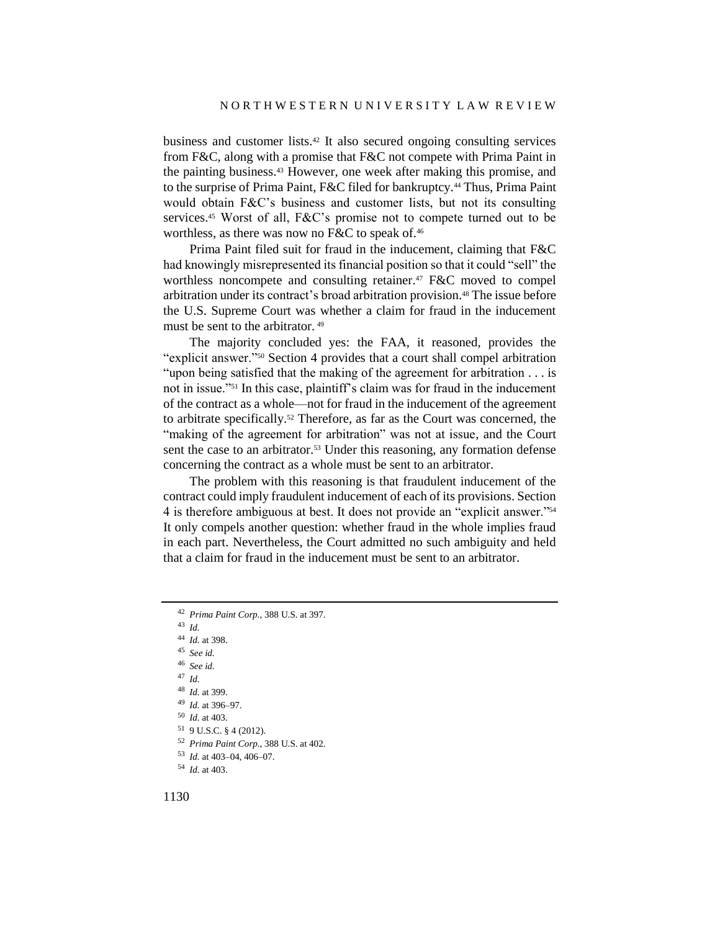business and customer lists.<sup>42</sup> It also secured ongoing consulting services from F&C, along with a promise that F&C not compete with Prima Paint in the painting business.<sup>43</sup> However, one week after making this promise, and to the surprise of Prima Paint, F&C filed for bankruptcy.<sup>44</sup> Thus, Prima Paint would obtain F&C's business and customer lists, but not its consulting services.<sup>45</sup> Worst of all, F&C's promise not to compete turned out to be worthless, as there was now no F&C to speak of.<sup>46</sup>

Prima Paint filed suit for fraud in the inducement, claiming that F&C had knowingly misrepresented its financial position so that it could "sell" the worthless noncompete and consulting retainer.<sup>47</sup> F&C moved to compel arbitration under its contract's broad arbitration provision.<sup>48</sup> The issue before the U.S. Supreme Court was whether a claim for fraud in the inducement must be sent to the arbitrator. <sup>49</sup>

The majority concluded yes: the FAA, it reasoned, provides the "explicit answer."<sup>50</sup> Section 4 provides that a court shall compel arbitration "upon being satisfied that the making of the agreement for arbitration . . . is not in issue."<sup>51</sup> In this case, plaintiff's claim was for fraud in the inducement of the contract as a whole—not for fraud in the inducement of the agreement to arbitrate specifically.<sup>52</sup> Therefore, as far as the Court was concerned, the "making of the agreement for arbitration" was not at issue, and the Court sent the case to an arbitrator.<sup>53</sup> Under this reasoning, any formation defense concerning the contract as a whole must be sent to an arbitrator.

The problem with this reasoning is that fraudulent inducement of the contract could imply fraudulent inducement of each of its provisions. Section 4 is therefore ambiguous at best. It does not provide an "explicit answer."<sup>54</sup> It only compels another question: whether fraud in the whole implies fraud in each part. Nevertheless, the Court admitted no such ambiguity and held that a claim for fraud in the inducement must be sent to an arbitrator.

<sup>43</sup> *Id.*

- <sup>44</sup> *Id.* at 398.
- <sup>45</sup> *See id.*
- <sup>46</sup> *See id.*
- <sup>47</sup> *Id.*
- <sup>48</sup> *Id.* at 399.
- <sup>49</sup> *Id.* at 396–97.
- <sup>50</sup> *Id.* at 403.
- <sup>51</sup> 9 U.S.C. § 4 (2012).
- <sup>52</sup> *Prima Paint Corp.*, 388 U.S. at 402.
- <sup>53</sup> *Id.* at 403–04, 406–07.
- <sup>54</sup> *Id.* at 403.

<sup>42</sup> *Prima Paint Corp.*, 388 U.S. at 397.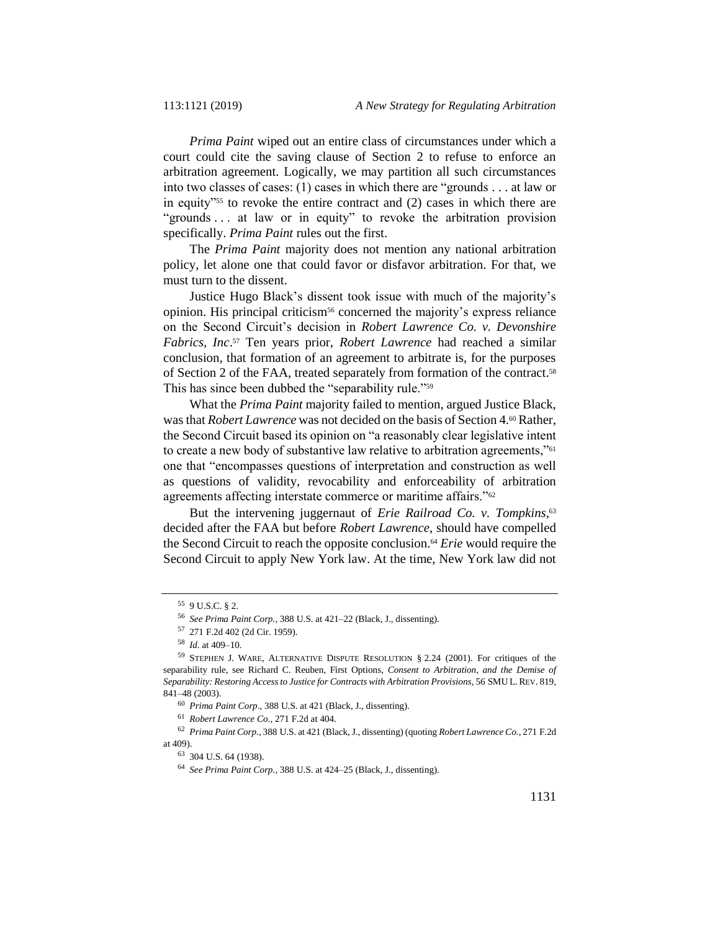*Prima Paint* wiped out an entire class of circumstances under which a court could cite the saving clause of Section 2 to refuse to enforce an arbitration agreement. Logically, we may partition all such circumstances into two classes of cases: (1) cases in which there are "grounds . . . at law or in equity"<sup>55</sup> to revoke the entire contract and (2) cases in which there are "grounds . . . at law or in equity" to revoke the arbitration provision specifically. *Prima Paint* rules out the first.

The *Prima Paint* majority does not mention any national arbitration policy, let alone one that could favor or disfavor arbitration. For that, we must turn to the dissent.

Justice Hugo Black's dissent took issue with much of the majority's opinion. His principal criticism<sup>56</sup> concerned the majority's express reliance on the Second Circuit's decision in *Robert Lawrence Co. v. Devonshire Fabrics, Inc*. <sup>57</sup> Ten years prior, *Robert Lawrence* had reached a similar conclusion, that formation of an agreement to arbitrate is, for the purposes of Section 2 of the FAA, treated separately from formation of the contract.<sup>58</sup> This has since been dubbed the "separability rule."<sup>59</sup>

<span id="page-10-0"></span>What the *Prima Paint* majority failed to mention, argued Justice Black, was that *Robert Lawrence* was not decided on the basis of Section 4.<sup>60</sup> Rather, the Second Circuit based its opinion on "a reasonably clear legislative intent to create a new body of substantive law relative to arbitration agreements,"<sup>61</sup> one that "encompasses questions of interpretation and construction as well as questions of validity, revocability and enforceability of arbitration agreements affecting interstate commerce or maritime affairs."<sup>62</sup>

But the intervening juggernaut of *Erie Railroad Co. v. Tompkins*,<sup>63</sup> decided after the FAA but before *Robert Lawrence*, should have compelled the Second Circuit to reach the opposite conclusion.<sup>64</sup> *Erie* would require the Second Circuit to apply New York law. At the time, New York law did not

<sup>55</sup> 9 U.S.C. § 2.

<sup>56</sup> *See Prima Paint Corp.*, 388 U.S. at 421–22 (Black, J., dissenting).

<sup>57</sup> 271 F.2d 402 (2d Cir. 1959).

<sup>58</sup> *Id.* at 409–10.

<sup>59</sup> STEPHEN J. WARE, ALTERNATIVE DISPUTE RESOLUTION § 2.24 (2001). For critiques of the separability rule, see Richard C. Reuben, First Options*, Consent to Arbitration, and the Demise of Separability: Restoring Access to Justice for Contracts with Arbitration Provisions*, 56 SMU L. REV. 819, 841–48 (2003).

<sup>60</sup> *Prima Paint Corp*., 388 U.S. at 421 (Black, J., dissenting).

<sup>61</sup> *Robert Lawrence Co.*, 271 F.2d at 404.

<sup>62</sup> *Prima Paint Corp.*, 388 U.S. at 421 (Black, J., dissenting) (quoting *Robert Lawrence Co.*, 271 F.2d at 409).

<sup>63</sup> 304 U.S. 64 (1938).

<sup>64</sup> *See Prima Paint Corp.*, 388 U.S. at 424–25 (Black, J., dissenting).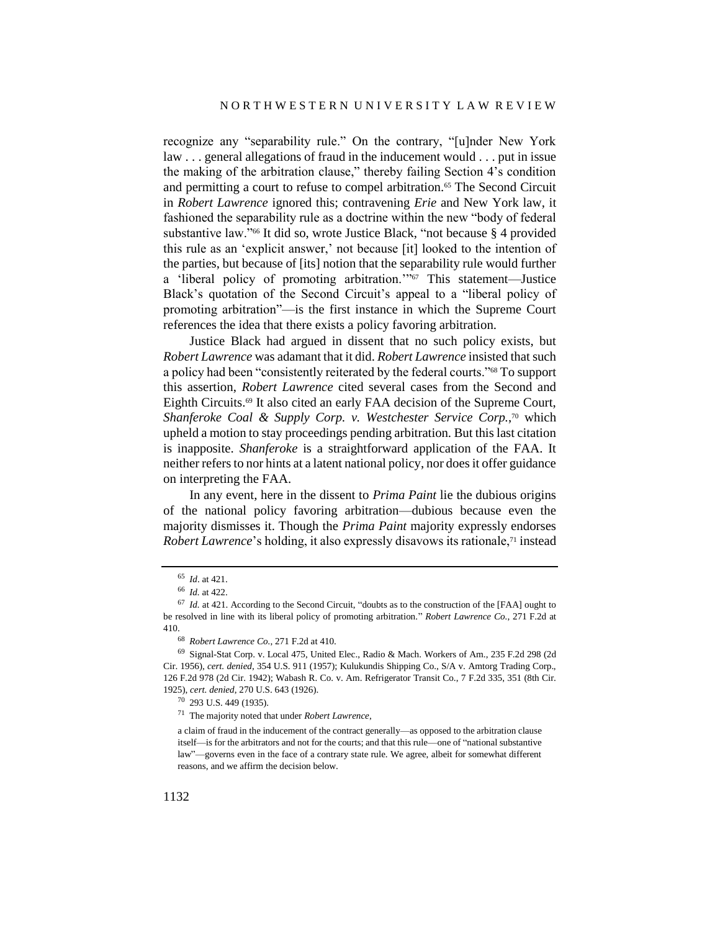recognize any "separability rule." On the contrary, "[u]nder New York law . . . general allegations of fraud in the inducement would . . . put in issue the making of the arbitration clause," thereby failing Section 4's condition and permitting a court to refuse to compel arbitration.<sup>65</sup> The Second Circuit in *Robert Lawrence* ignored this; contravening *Erie* and New York law, it fashioned the separability rule as a doctrine within the new "body of federal substantive law."<sup>66</sup> It did so, wrote Justice Black, "not because § 4 provided this rule as an 'explicit answer,' not because [it] looked to the intention of the parties, but because of [its] notion that the separability rule would further a 'liberal policy of promoting arbitration.'" <sup>67</sup> This statement—Justice Black's quotation of the Second Circuit's appeal to a "liberal policy of promoting arbitration"—is the first instance in which the Supreme Court references the idea that there exists a policy favoring arbitration.

Justice Black had argued in dissent that no such policy exists, but *Robert Lawrence* was adamant that it did. *Robert Lawrence* insisted that such a policy had been "consistently reiterated by the federal courts."<sup>68</sup> To support this assertion, *Robert Lawrence* cited several cases from the Second and Eighth Circuits.<sup>69</sup> It also cited an early FAA decision of the Supreme Court, *Shanferoke Coal & Supply Corp. v. Westchester Service Corp.*, <sup>70</sup> which upheld a motion to stay proceedings pending arbitration. But this last citation is inapposite. *Shanferoke* is a straightforward application of the FAA. It neither refers to nor hints at a latent national policy, nor does it offer guidance on interpreting the FAA.

In any event, here in the dissent to *Prima Paint* lie the dubious origins of the national policy favoring arbitration—dubious because even the majority dismisses it. Though the *Prima Paint* majority expressly endorses *Robert Lawrence*'s holding, it also expressly disavows its rationale,<sup>71</sup> instead

<sup>65</sup> *Id*. at 421.

<sup>66</sup> *Id.* at 422.

<sup>67</sup> *Id.* at 421. According to the Second Circuit, "doubts as to the construction of the [FAA] ought to be resolved in line with its liberal policy of promoting arbitration." *Robert Lawrence Co.*, 271 F.2d at 410.

<sup>68</sup> *Robert Lawrence Co.*, 271 F.2d at 410.

<sup>69</sup> Signal-Stat Corp. v. Local 475, United Elec., Radio & Mach. Workers of Am., 235 F.2d 298 (2d Cir. 1956), *cert. denied*, 354 U.S. 911 (1957); Kulukundis Shipping Co., S/A v. Amtorg Trading Corp., 126 F.2d 978 (2d Cir. 1942); Wabash R. Co. v. Am. Refrigerator Transit Co., 7 F.2d 335, 351 (8th Cir. 1925), *cert. denied*, 270 U.S. 643 (1926).

<sup>70</sup> 293 U.S. 449 (1935).

<sup>71</sup> The majority noted that under *Robert Lawrence*,

a claim of fraud in the inducement of the contract generally—as opposed to the arbitration clause itself—is for the arbitrators and not for the courts; and that this rule—one of "national substantive law"—governs even in the face of a contrary state rule. We agree, albeit for somewhat different reasons, and we affirm the decision below.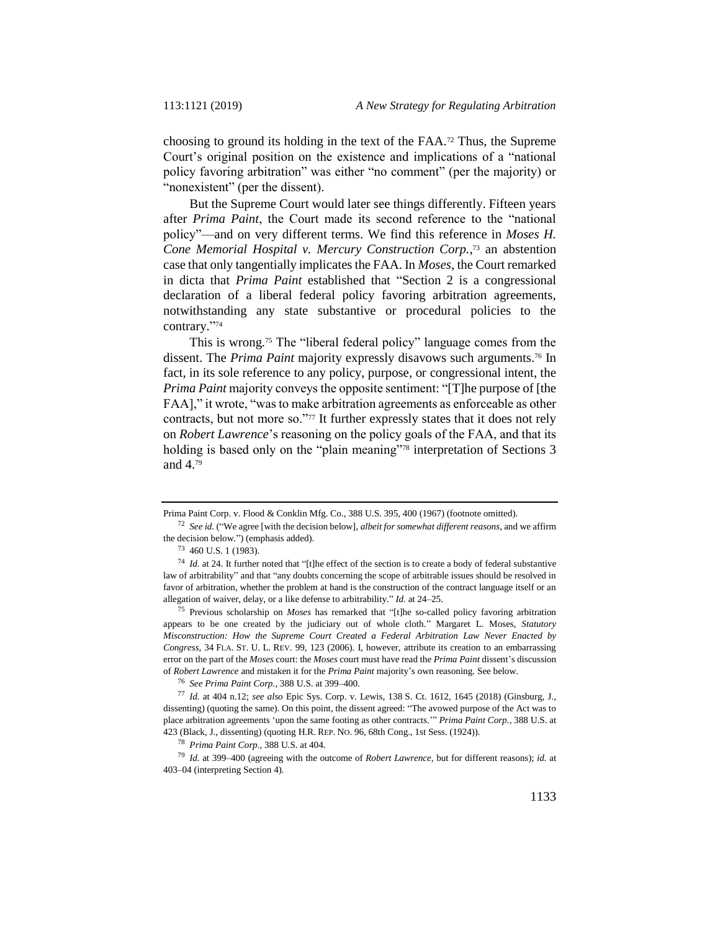choosing to ground its holding in the text of the FAA.<sup>72</sup> Thus, the Supreme Court's original position on the existence and implications of a "national policy favoring arbitration" was either "no comment" (per the majority) or "nonexistent" (per the dissent).

But the Supreme Court would later see things differently. Fifteen years after *Prima Paint*, the Court made its second reference to the "national policy"—and on very different terms. We find this reference in *Moses H. Cone Memorial Hospital v. Mercury Construction Corp.*, <sup>73</sup> an abstention case that only tangentially implicates the FAA. In *Moses*, the Court remarked in dicta that *Prima Paint* established that "Section 2 is a congressional declaration of a liberal federal policy favoring arbitration agreements, notwithstanding any state substantive or procedural policies to the contrary." 74

This is wrong.<sup>75</sup> The "liberal federal policy" language comes from the dissent. The *Prima Paint* majority expressly disavows such arguments.<sup>76</sup> In fact, in its sole reference to any policy, purpose, or congressional intent, the *Prima Paint* majority conveys the opposite sentiment: "[T]he purpose of [the FAA]," it wrote, "was to make arbitration agreements as enforceable as other contracts, but not more so."<sup>77</sup> It further expressly states that it does not rely on *Robert Lawrence*'s reasoning on the policy goals of the FAA, and that its holding is based only on the "plain meaning"<sup>78</sup> interpretation of Sections 3 and 4.<sup>79</sup>

<sup>75</sup> Previous scholarship on *Moses* has remarked that "[t]he so-called policy favoring arbitration appears to be one created by the judiciary out of whole cloth." Margaret L. Moses, *Statutory Misconstruction: How the Supreme Court Created a Federal Arbitration Law Never Enacted by Congress*, 34 FLA. ST. U. L. REV. 99, 123 (2006). I, however, attribute its creation to an embarrassing error on the part of the *Moses* court: the *Moses* court must have read the *Prima Paint* dissent's discussion of *Robert Lawrence* and mistaken it for the *Prima Paint* majority's own reasoning. See below.

<sup>76</sup> *See Prima Paint Corp.*, 388 U.S. at 399–400.

<sup>77</sup> *Id.* at 404 n.12; *see also* Epic Sys. Corp. v. Lewis, 138 S. Ct. 1612, 1645 (2018) (Ginsburg, J., dissenting) (quoting the same). On this point, the dissent agreed: "The avowed purpose of the Act was to place arbitration agreements 'upon the same footing as other contracts.'" *Prima Paint Corp.*, 388 U.S. at 423 (Black, J., dissenting) (quoting H.R. REP. NO. 96, 68th Cong., 1st Sess. (1924)).

<sup>78</sup> *Prima Paint Corp.*, 388 U.S. at 404.

<sup>79</sup> *Id.* at 399–400 (agreeing with the outcome of *Robert Lawrence*, but for different reasons); *id.* at 403–04 (interpreting Section 4).

Prima Paint Corp. v. Flood & Conklin Mfg. Co., 388 U.S. 395, 400 (1967) (footnote omitted).

<sup>72</sup> *See id.* ("We agree [with the decision below], *albeit for somewhat different reasons*, and we affirm the decision below.") (emphasis added).

<sup>73</sup> 460 U.S. 1 (1983).

<sup>74</sup> *Id.* at 24. It further noted that "[t]he effect of the section is to create a body of federal substantive law of arbitrability" and that "any doubts concerning the scope of arbitrable issues should be resolved in favor of arbitration, whether the problem at hand is the construction of the contract language itself or an allegation of waiver, delay, or a like defense to arbitrability." *Id.* at 24–25.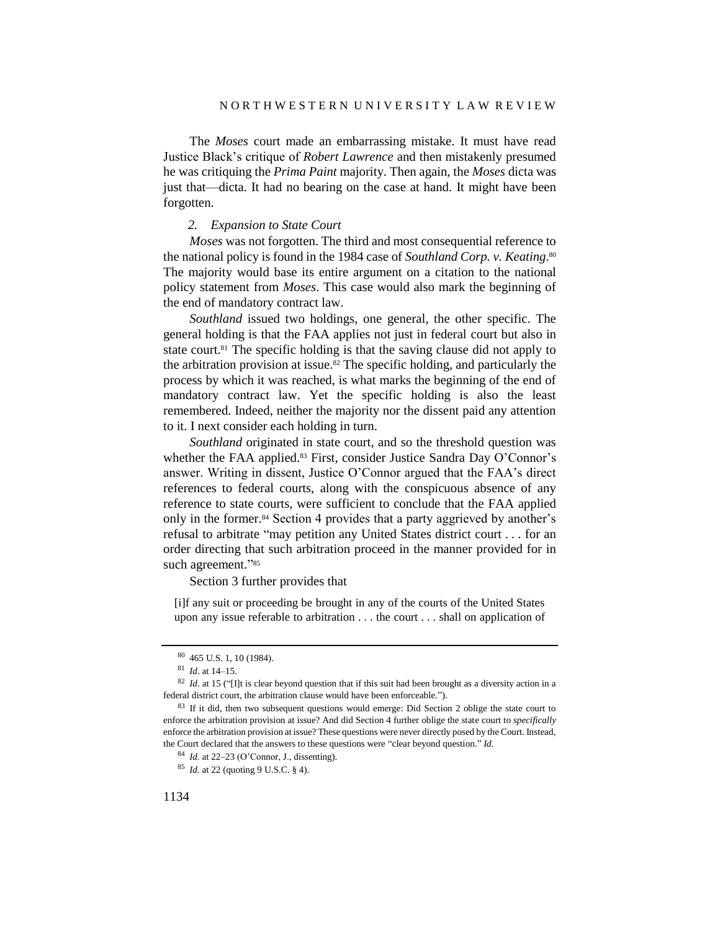The *Moses* court made an embarrassing mistake. It must have read Justice Black's critique of *Robert Lawrence* and then mistakenly presumed he was critiquing the *Prima Paint* majority. Then again, the *Moses* dicta was just that—dicta. It had no bearing on the case at hand. It might have been forgotten.

#### *2. Expansion to State Court*

*Moses* was not forgotten. The third and most consequential reference to the national policy is found in the 1984 case of *Southland Corp. v. Keating*. 80 The majority would base its entire argument on a citation to the national policy statement from *Moses*. This case would also mark the beginning of the end of mandatory contract law.

*Southland* issued two holdings, one general, the other specific. The general holding is that the FAA applies not just in federal court but also in state court.<sup>81</sup> The specific holding is that the saving clause did not apply to the arbitration provision at issue.<sup>82</sup> The specific holding, and particularly the process by which it was reached, is what marks the beginning of the end of mandatory contract law. Yet the specific holding is also the least remembered. Indeed, neither the majority nor the dissent paid any attention to it. I next consider each holding in turn.

*Southland* originated in state court, and so the threshold question was whether the FAA applied.<sup>83</sup> First, consider Justice Sandra Day O'Connor's answer. Writing in dissent, Justice O'Connor argued that the FAA's direct references to federal courts, along with the conspicuous absence of any reference to state courts, were sufficient to conclude that the FAA applied only in the former.<sup>84</sup> Section 4 provides that a party aggrieved by another's refusal to arbitrate "may petition any United States district court . . . for an order directing that such arbitration proceed in the manner provided for in such agreement."85

Section 3 further provides that

[i]f any suit or proceeding be brought in any of the courts of the United States upon any issue referable to arbitration . . . the court . . . shall on application of

<sup>80</sup> 465 U.S. 1, 10 (1984).

<sup>81</sup> *Id*. at 14–15.

<sup>&</sup>lt;sup>82</sup> *Id.* at 15 ("I]t is clear beyond question that if this suit had been brought as a diversity action in a federal district court, the arbitration clause would have been enforceable.").

<sup>&</sup>lt;sup>83</sup> If it did, then two subsequent questions would emerge: Did Section 2 oblige the state court to enforce the arbitration provision at issue? And did Section 4 further oblige the state court to *specifically* enforce the arbitration provision at issue? These questions were never directly posed by the Court. Instead, the Court declared that the answers to these questions were "clear beyond question." *Id.*

<sup>84</sup> *Id.* at 22–23 (O'Connor, J., dissenting).

<sup>85</sup> *Id.* at 22 (quoting 9 U.S.C. § 4).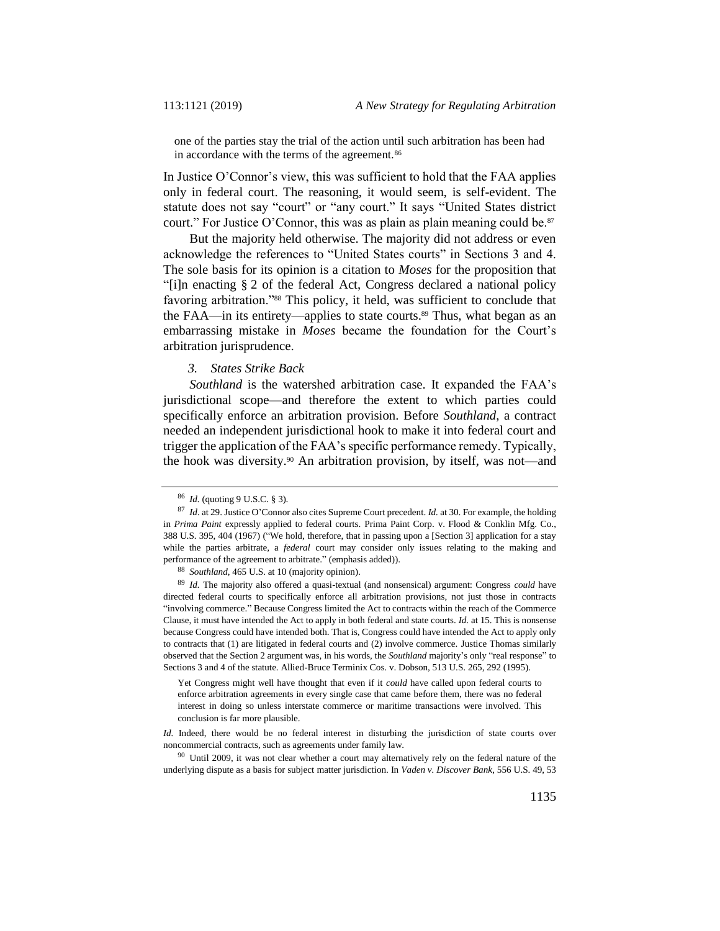one of the parties stay the trial of the action until such arbitration has been had in accordance with the terms of the agreement.<sup>86</sup>

In Justice O'Connor's view, this was sufficient to hold that the FAA applies only in federal court. The reasoning, it would seem, is self-evident. The statute does not say "court" or "any court." It says "United States district court." For Justice O'Connor, this was as plain as plain meaning could be.<sup>87</sup>

But the majority held otherwise. The majority did not address or even acknowledge the references to "United States courts" in Sections 3 and 4. The sole basis for its opinion is a citation to *Moses* for the proposition that "[i]n enacting § 2 of the federal Act, Congress declared a national policy favoring arbitration."<sup>88</sup> This policy, it held, was sufficient to conclude that the FAA—in its entirety—applies to state courts.<sup>89</sup> Thus, what began as an embarrassing mistake in *Moses* became the foundation for the Court's arbitration jurisprudence.

### *3. States Strike Back*

*Southland* is the watershed arbitration case. It expanded the FAA's jurisdictional scope—and therefore the extent to which parties could specifically enforce an arbitration provision. Before *Southland*, a contract needed an independent jurisdictional hook to make it into federal court and trigger the application of the FAA's specific performance remedy. Typically, the hook was diversity.<sup>90</sup> An arbitration provision, by itself, was not—and

Yet Congress might well have thought that even if it *could* have called upon federal courts to enforce arbitration agreements in every single case that came before them, there was no federal interest in doing so unless interstate commerce or maritime transactions were involved. This conclusion is far more plausible.

*Id.* Indeed, there would be no federal interest in disturbing the jurisdiction of state courts over noncommercial contracts, such as agreements under family law.

<sup>90</sup> Until 2009, it was not clear whether a court may alternatively rely on the federal nature of the underlying dispute as a basis for subject matter jurisdiction. In *Vaden v. Discover Bank*, 556 U.S. 49, 53

<sup>86</sup> *Id.* (quoting 9 U.S.C. § 3).

<sup>87</sup> *Id*. at 29. Justice O'Connor also cites Supreme Court precedent. *Id.* at 30. For example, the holding in *Prima Paint* expressly applied to federal courts. Prima Paint Corp. v. Flood & Conklin Mfg. Co., 388 U.S. 395, 404 (1967) ("We hold, therefore, that in passing upon a [Section 3] application for a stay while the parties arbitrate, a *federal* court may consider only issues relating to the making and performance of the agreement to arbitrate." (emphasis added)).

<sup>88</sup> *Southland*, 465 U.S. at 10 (majority opinion).

<sup>89</sup> *Id.* The majority also offered a quasi-textual (and nonsensical) argument: Congress *could* have directed federal courts to specifically enforce all arbitration provisions, not just those in contracts "involving commerce." Because Congress limited the Act to contracts within the reach of the Commerce Clause, it must have intended the Act to apply in both federal and state courts. *Id.* at 15. This is nonsense because Congress could have intended both. That is, Congress could have intended the Act to apply only to contracts that (1) are litigated in federal courts and (2) involve commerce. Justice Thomas similarly observed that the Section 2 argument was, in his words, the *Southland* majority's only "real response" to Sections 3 and 4 of the statute. Allied-Bruce Terminix Cos. v. Dobson, 513 U.S. 265, 292 (1995).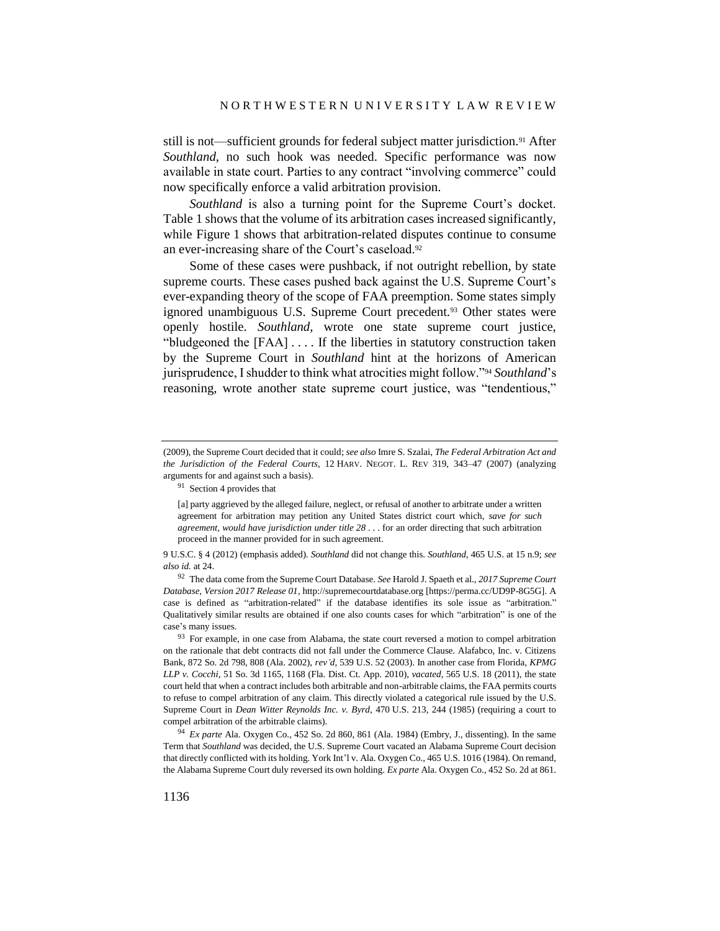still is not—sufficient grounds for federal subject matter jurisdiction.<sup>91</sup> After *Southland*, no such hook was needed. Specific performance was now available in state court. Parties to any contract "involving commerce" could now specifically enforce a valid arbitration provision.

*Southland* is also a turning point for the Supreme Court's docket. Table 1 shows that the volume of its arbitration cases increased significantly, while Figure 1 shows that arbitration-related disputes continue to consume an ever-increasing share of the Court's caseload.<sup>92</sup>

Some of these cases were pushback, if not outright rebellion, by state supreme courts. These cases pushed back against the U.S. Supreme Court's ever-expanding theory of the scope of FAA preemption. Some states simply ignored unambiguous U.S. Supreme Court precedent.<sup>93</sup> Other states were openly hostile. *Southland*, wrote one state supreme court justice, "bludgeoned the [FAA] . . . . If the liberties in statutory construction taken by the Supreme Court in *Southland* hint at the horizons of American jurisprudence, I shudder to think what atrocities might follow."<sup>94</sup> *Southland*'s reasoning, wrote another state supreme court justice, was "tendentious,"

<sup>91</sup> Section 4 provides that

<sup>(2009),</sup> the Supreme Court decided that it could; *see also* Imre S. Szalai, *The Federal Arbitration Act and the Jurisdiction of the Federal Courts*, 12 HARV. NEGOT. L. REV 319, 343–47 (2007) (analyzing arguments for and against such a basis).

<sup>[</sup>a] party aggrieved by the alleged failure, neglect, or refusal of another to arbitrate under a written agreement for arbitration may petition any United States district court which, *save for such agreement, would have jurisdiction under title 28* . . . for an order directing that such arbitration proceed in the manner provided for in such agreement.

<sup>9</sup> U.S.C. § 4 (2012) (emphasis added). *Southland* did not change this. *Southland*, 465 U.S. at 15 n.9; *see also id.* at 24.

<sup>92</sup> The data come from the Supreme Court Database. *See* Harold J. Spaeth et al., *2017 Supreme Court Database, Version 2017 Release 01*, http://supremecourtdatabase.org [https://perma.cc/UD9P-8G5G]. A case is defined as "arbitration-related" if the database identifies its sole issue as "arbitration." Qualitatively similar results are obtained if one also counts cases for which "arbitration" is one of the case's many issues.

<sup>&</sup>lt;sup>93</sup> For example, in one case from Alabama, the state court reversed a motion to compel arbitration on the rationale that debt contracts did not fall under the Commerce Clause. Alafabco, Inc. v. Citizens Bank, 872 So. 2d 798, 808 (Ala. 2002), *rev'd*, 539 U.S. 52 (2003). In another case from Florida, *KPMG LLP v. Cocchi*, 51 So. 3d 1165, 1168 (Fla. Dist. Ct. App. 2010), *vacated*, 565 U.S. 18 (2011), the state court held that when a contract includes both arbitrable and non-arbitrable claims, the FAA permits courts to refuse to compel arbitration of any claim. This directly violated a categorical rule issued by the U.S. Supreme Court in *Dean Witter Reynolds Inc. v. Byrd*, 470 U.S. 213, 244 (1985) (requiring a court to compel arbitration of the arbitrable claims).

<sup>94</sup> *Ex parte* Ala. Oxygen Co., 452 So. 2d 860, 861 (Ala. 1984) (Embry, J., dissenting). In the same Term that *Southland* was decided, the U.S. Supreme Court vacated an Alabama Supreme Court decision that directly conflicted with its holding. York Int'l v. Ala. Oxygen Co., 465 U.S. 1016 (1984). On remand, the Alabama Supreme Court duly reversed its own holding. *Ex parte* Ala. Oxygen Co., 452 So. 2d at 861.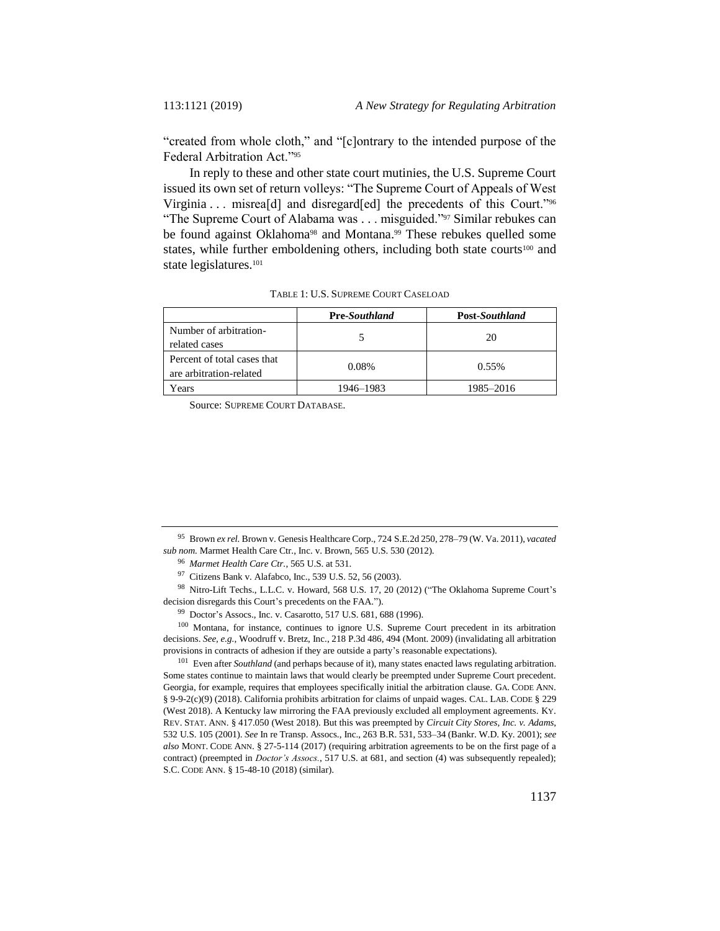"created from whole cloth," and "[c]ontrary to the intended purpose of the Federal Arbitration Act."<sup>95</sup>

In reply to these and other state court mutinies, the U.S. Supreme Court issued its own set of return volleys: "The Supreme Court of Appeals of West Virginia . . . misrea<sup>[d]</sup> and disregard<sup>[ed]</sup> the precedents of this Court."<sup>96</sup> "The Supreme Court of Alabama was . . . misguided."<sup>97</sup> Similar rebukes can be found against Oklahoma<sup>98</sup> and Montana.<sup>99</sup> These rebukes quelled some states, while further emboldening others, including both state courts<sup>100</sup> and state legislatures.<sup>101</sup>

|                                                        | <b>Pre-Southland</b> | <b>Post-Southland</b> |
|--------------------------------------------------------|----------------------|-----------------------|
| Number of arbitration-<br>related cases                |                      | 20                    |
| Percent of total cases that<br>are arbitration-related | 0.08%                | $0.55\%$              |
| Years                                                  | 1946–1983            | 1985–2016             |

TABLE 1: U.S. SUPREME COURT CASELOAD

Source: SUPREME COURT DATABASE.

98 Nitro-Lift Techs., L.L.C. v. Howard, 568 U.S. 17, 20 (2012) ("The Oklahoma Supreme Court's decision disregards this Court's precedents on the FAA.").

<sup>100</sup> Montana, for instance, continues to ignore U.S. Supreme Court precedent in its arbitration decisions. *See, e.g.*, Woodruff v. Bretz, Inc., 218 P.3d 486, 494 (Mont. 2009) (invalidating all arbitration provisions in contracts of adhesion if they are outside a party's reasonable expectations).

<sup>101</sup> Even after *Southland* (and perhaps because of it), many states enacted laws regulating arbitration. Some states continue to maintain laws that would clearly be preempted under Supreme Court precedent. Georgia, for example, requires that employees specifically initial the arbitration clause. GA. CODE ANN. § 9-9-2(c)(9) (2018). California prohibits arbitration for claims of unpaid wages. CAL. LAB. CODE § 229 (West 2018). A Kentucky law mirroring the FAA previously excluded all employment agreements. KY. REV. STAT. ANN. § 417.050 (West 2018). But this was preempted by *Circuit City Stores, Inc. v. Adams*, 532 U.S. 105 (2001). *See* In re Transp. Assocs., Inc., 263 B.R. 531, 533–34 (Bankr. W.D. Ky. 2001); *see also* MONT. CODE ANN. § 27-5-114 (2017) (requiring arbitration agreements to be on the first page of a contract) (preempted in *Doctor's Assocs.*, 517 U.S. at 681, and section (4) was subsequently repealed); S.C. CODE ANN. § 15-48-10 (2018) (similar).

<sup>95</sup> Brown *ex rel.* Brown v. Genesis Healthcare Corp., 724 S.E.2d 250, 278–79 (W. Va. 2011), *vacated sub nom.* Marmet Health Care Ctr., Inc. v. Brown, 565 U.S. 530 (2012).

<sup>96</sup> *Marmet Health Care Ctr.*, 565 U.S. at 531.

<sup>97</sup> Citizens Bank v. Alafabco, Inc., 539 U.S. 52, 56 (2003).

<sup>99</sup> Doctor's Assocs., Inc. v. Casarotto, 517 U.S. 681, 688 (1996).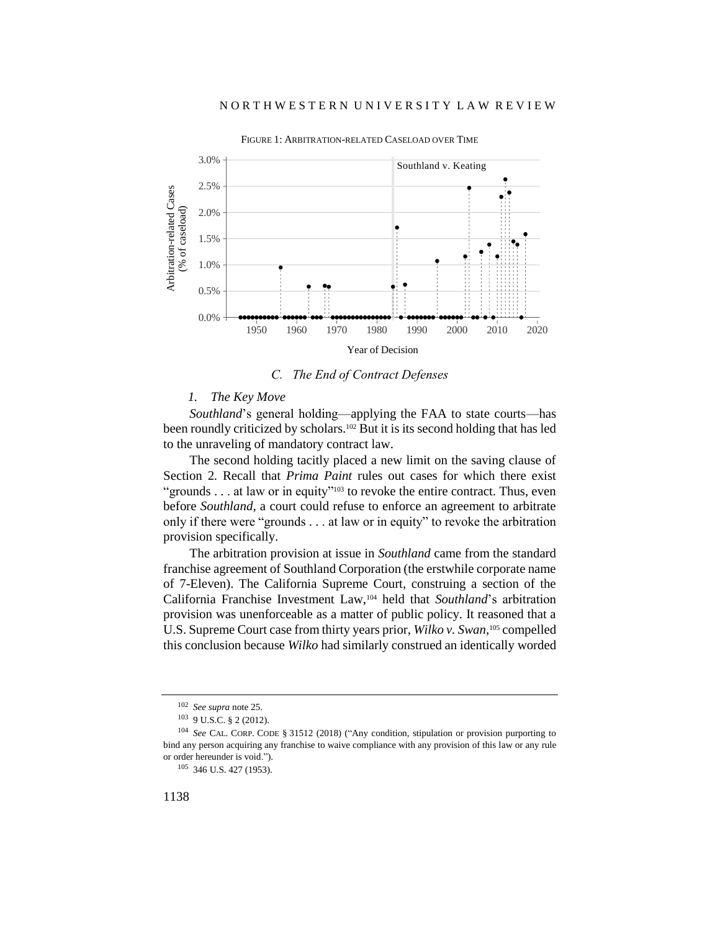

FIGURE 1: ARBITRATION-RELATED CASELOAD OVER TIME

*C. The End of Contract Defenses*

### *1. The Key Move*

*Southland*'s general holding—applying the FAA to state courts—has been roundly criticized by scholars.<sup>102</sup> But it is its second holding that has led to the unraveling of mandatory contract law.

The second holding tacitly placed a new limit on the saving clause of Section 2. Recall that *Prima Paint* rules out cases for which there exist "grounds . . . at law or in equity"<sup>103</sup> to revoke the entire contract. Thus, even before *Southland*, a court could refuse to enforce an agreement to arbitrate only if there were "grounds . . . at law or in equity" to revoke the arbitration provision specifically.

The arbitration provision at issue in *Southland* came from the standard franchise agreement of Southland Corporation (the erstwhile corporate name of 7-Eleven). The California Supreme Court, construing a section of the California Franchise Investment Law,<sup>104</sup> held that *Southland*'s arbitration provision was unenforceable as a matter of public policy. It reasoned that a U.S. Supreme Court case from thirty years prior, *Wilko v. Swan*, <sup>105</sup> compelled this conclusion because *Wilko* had similarly construed an identically worded

<sup>102</sup> *See supra* not[e 25.](#page-5-0)

<sup>103</sup> 9 U.S.C. § 2 (2012).

<sup>104</sup> *See* CAL. CORP. CODE § 31512 (2018) ("Any condition, stipulation or provision purporting to bind any person acquiring any franchise to waive compliance with any provision of this law or any rule or order hereunder is void.").

<sup>105</sup> 346 U.S. 427 (1953).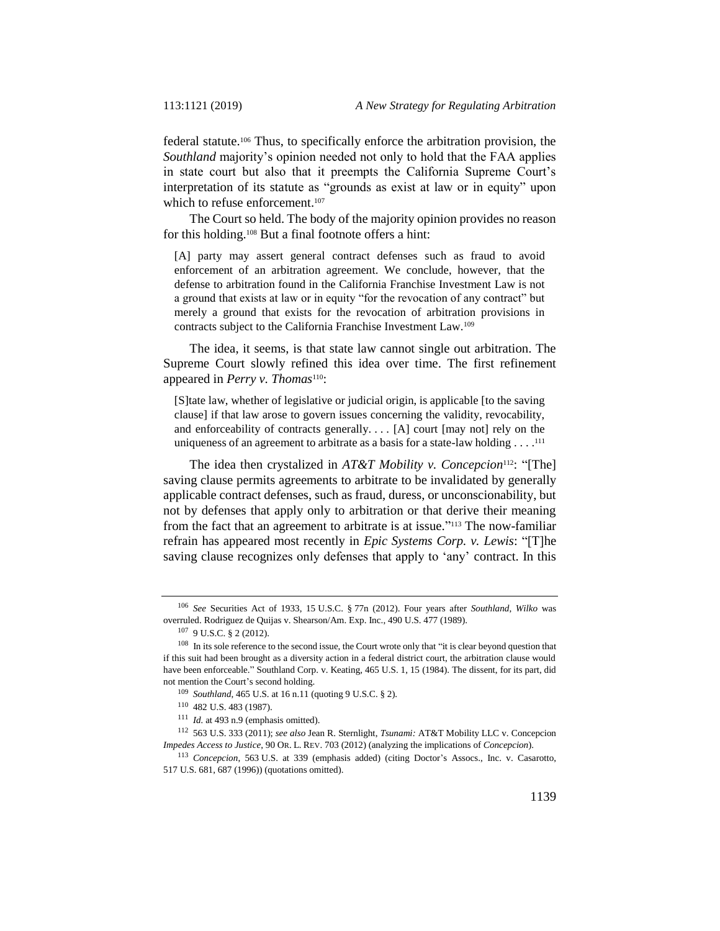federal statute.<sup>106</sup> Thus, to specifically enforce the arbitration provision, the *Southland* majority's opinion needed not only to hold that the FAA applies in state court but also that it preempts the California Supreme Court's interpretation of its statute as "grounds as exist at law or in equity" upon which to refuse enforcement.<sup>107</sup>

The Court so held. The body of the majority opinion provides no reason for this holding.<sup>108</sup> But a final footnote offers a hint:

[A] party may assert general contract defenses such as fraud to avoid enforcement of an arbitration agreement. We conclude, however, that the defense to arbitration found in the California Franchise Investment Law is not a ground that exists at law or in equity "for the revocation of any contract" but merely a ground that exists for the revocation of arbitration provisions in contracts subject to the California Franchise Investment Law.<sup>109</sup>

The idea, it seems, is that state law cannot single out arbitration. The Supreme Court slowly refined this idea over time. The first refinement appeared in *Perry v. Thomas*110:

[S]tate law, whether of legislative or judicial origin, is applicable [to the saving clause] if that law arose to govern issues concerning the validity, revocability, and enforceability of contracts generally. . . . [A] court [may not] rely on the uniqueness of an agreement to arbitrate as a basis for a state-law holding  $\dots$ .<sup>111</sup>

The idea then crystalized in *AT&T Mobility v. Concepcion*112: "[The] saving clause permits agreements to arbitrate to be invalidated by generally applicable contract defenses, such as fraud, duress, or unconscionability, but not by defenses that apply only to arbitration or that derive their meaning from the fact that an agreement to arbitrate is at issue." <sup>113</sup> The now-familiar refrain has appeared most recently in *Epic Systems Corp. v. Lewis*: "[T]he saving clause recognizes only defenses that apply to 'any' contract. In this

<sup>106</sup> *See* Securities Act of 1933, 15 U.S.C. § 77n (2012). Four years after *Southland*, *Wilko* was overruled. Rodriguez de Quijas v. Shearson/Am. Exp. Inc., 490 U.S. 477 (1989).

<sup>107</sup> 9 U.S.C. § 2 (2012).

<sup>&</sup>lt;sup>108</sup> In its sole reference to the second issue, the Court wrote only that "it is clear beyond question that if this suit had been brought as a diversity action in a federal district court, the arbitration clause would have been enforceable." Southland Corp. v. Keating, 465 U.S. 1, 15 (1984). The dissent, for its part, did not mention the Court's second holding.

<sup>109</sup> *Southland*, 465 U.S. at 16 n.11 (quoting 9 U.S.C. § 2).

<sup>110</sup> 482 U.S. 483 (1987).

<sup>111</sup> *Id.* at 493 n.9 (emphasis omitted).

<sup>112</sup> 563 U.S. 333 (2011); *see also* Jean R. Sternlight, *Tsunami:* AT&T Mobility LLC v. Concepcion *Impedes Access to Justice*, 90 OR. L. REV. 703 (2012) (analyzing the implications of *Concepcion*).

<sup>113</sup> *Concepcion*, 563 U.S. at 339 (emphasis added) (citing Doctor's Assocs., Inc. v. Casarotto, 517 U.S. 681, 687 (1996)) (quotations omitted).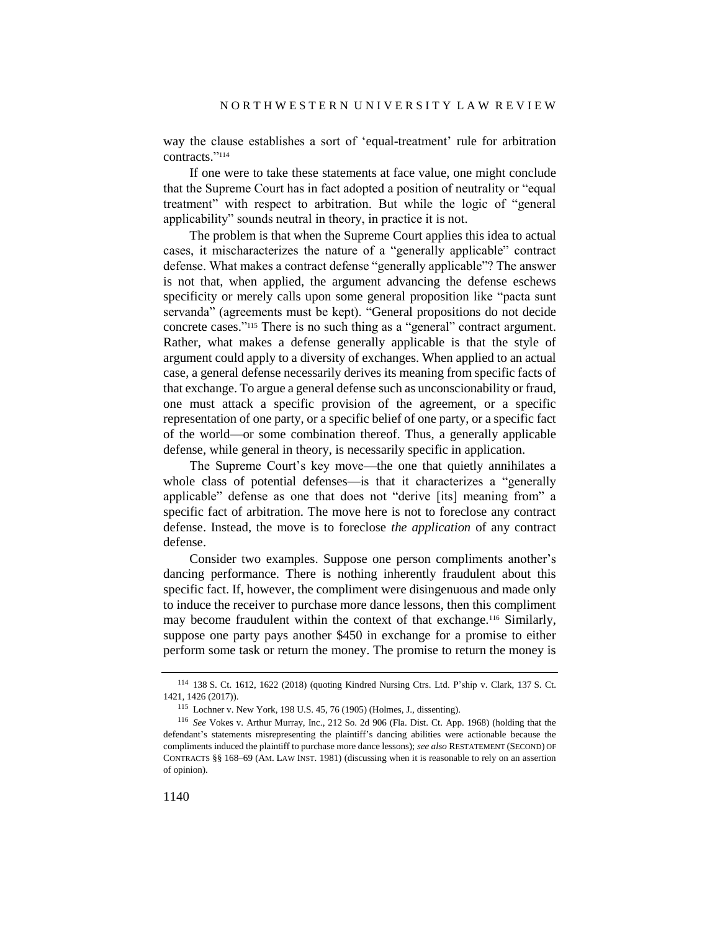way the clause establishes a sort of 'equal-treatment' rule for arbitration contracts." 114

If one were to take these statements at face value, one might conclude that the Supreme Court has in fact adopted a position of neutrality or "equal treatment" with respect to arbitration. But while the logic of "general applicability" sounds neutral in theory, in practice it is not.

The problem is that when the Supreme Court applies this idea to actual cases, it mischaracterizes the nature of a "generally applicable" contract defense. What makes a contract defense "generally applicable"? The answer is not that, when applied, the argument advancing the defense eschews specificity or merely calls upon some general proposition like "pacta sunt servanda" (agreements must be kept). "General propositions do not decide concrete cases." <sup>115</sup> There is no such thing as a "general" contract argument. Rather, what makes a defense generally applicable is that the style of argument could apply to a diversity of exchanges. When applied to an actual case, a general defense necessarily derives its meaning from specific facts of that exchange. To argue a general defense such as unconscionability or fraud, one must attack a specific provision of the agreement, or a specific representation of one party, or a specific belief of one party, or a specific fact of the world—or some combination thereof. Thus, a generally applicable defense, while general in theory, is necessarily specific in application.

The Supreme Court's key move—the one that quietly annihilates a whole class of potential defenses—is that it characterizes a "generally applicable" defense as one that does not "derive [its] meaning from" a specific fact of arbitration. The move here is not to foreclose any contract defense. Instead, the move is to foreclose *the application* of any contract defense.

Consider two examples. Suppose one person compliments another's dancing performance. There is nothing inherently fraudulent about this specific fact. If, however, the compliment were disingenuous and made only to induce the receiver to purchase more dance lessons, then this compliment may become fraudulent within the context of that exchange.<sup>116</sup> Similarly, suppose one party pays another \$450 in exchange for a promise to either perform some task or return the money. The promise to return the money is

<sup>114</sup> 138 S. Ct. 1612, 1622 (2018) (quoting Kindred Nursing Ctrs. Ltd. P'ship v. Clark, 137 S. Ct. 1421, 1426 (2017)).

<sup>115</sup> Lochner v. New York, 198 U.S. 45, 76 (1905) (Holmes, J., dissenting).

<sup>116</sup> *See* Vokes v. Arthur Murray, Inc., 212 So. 2d 906 (Fla. Dist. Ct. App. 1968) (holding that the defendant's statements misrepresenting the plaintiff's dancing abilities were actionable because the compliments induced the plaintiff to purchase more dance lessons); *see also* RESTATEMENT (SECOND) OF CONTRACTS §§ 168–69 (AM. LAW INST. 1981) (discussing when it is reasonable to rely on an assertion of opinion).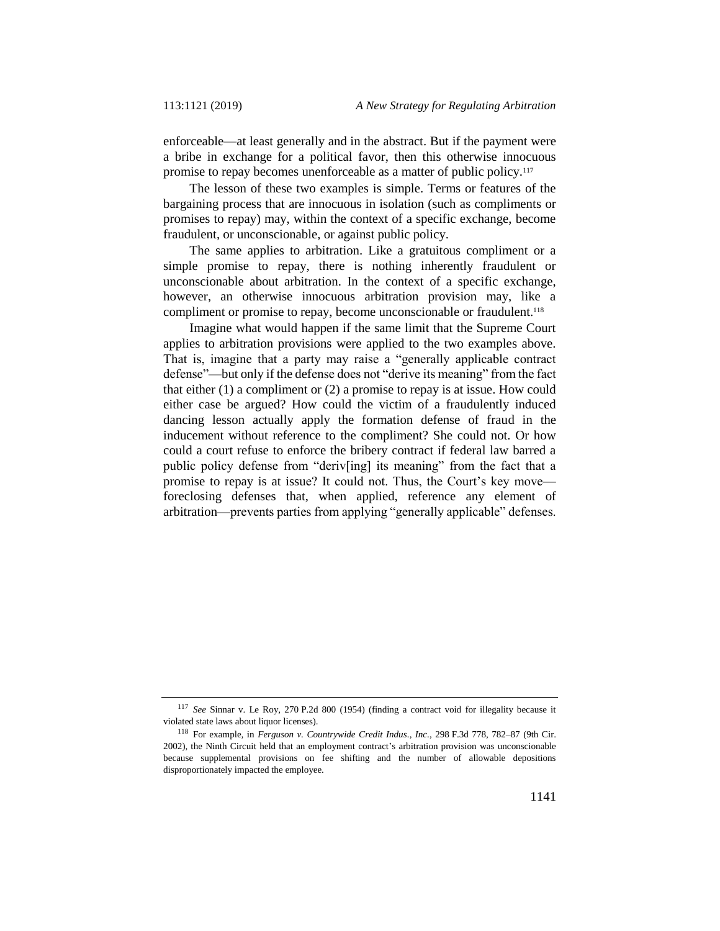enforceable—at least generally and in the abstract. But if the payment were a bribe in exchange for a political favor, then this otherwise innocuous promise to repay becomes unenforceable as a matter of public policy.<sup>117</sup>

The lesson of these two examples is simple. Terms or features of the bargaining process that are innocuous in isolation (such as compliments or promises to repay) may, within the context of a specific exchange, become fraudulent, or unconscionable, or against public policy.

The same applies to arbitration. Like a gratuitous compliment or a simple promise to repay, there is nothing inherently fraudulent or unconscionable about arbitration. In the context of a specific exchange, however, an otherwise innocuous arbitration provision may, like a compliment or promise to repay, become unconscionable or fraudulent.<sup>118</sup>

Imagine what would happen if the same limit that the Supreme Court applies to arbitration provisions were applied to the two examples above. That is, imagine that a party may raise a "generally applicable contract defense"—but only if the defense does not "derive its meaning" from the fact that either (1) a compliment or (2) a promise to repay is at issue. How could either case be argued? How could the victim of a fraudulently induced dancing lesson actually apply the formation defense of fraud in the inducement without reference to the compliment? She could not. Or how could a court refuse to enforce the bribery contract if federal law barred a public policy defense from "deriv[ing] its meaning" from the fact that a promise to repay is at issue? It could not. Thus, the Court's key move foreclosing defenses that, when applied, reference any element of arbitration—prevents parties from applying "generally applicable" defenses.

<sup>117</sup> *See* Sinnar v. Le Roy, 270 P.2d 800 (1954) (finding a contract void for illegality because it violated state laws about liquor licenses).

<sup>118</sup> For example, in *Ferguson v. Countrywide Credit Indus., Inc.*, 298 F.3d 778, 782–87 (9th Cir. 2002), the Ninth Circuit held that an employment contract's arbitration provision was unconscionable because supplemental provisions on fee shifting and the number of allowable depositions disproportionately impacted the employee.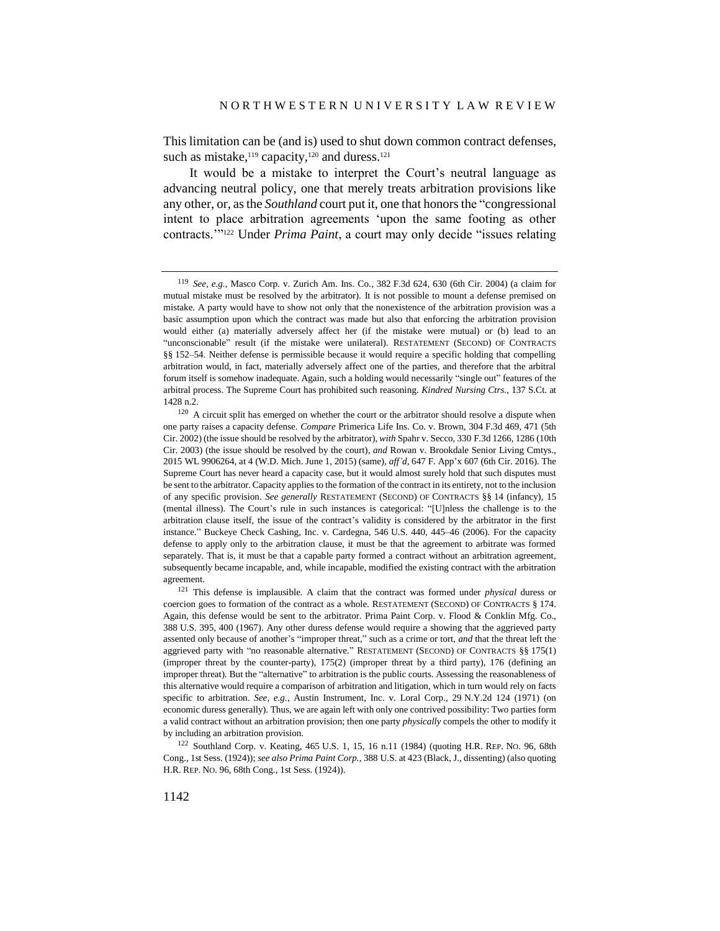This limitation can be (and is) used to shut down common contract defenses, such as mistake, $119$  capacity, $120$  and duress. $121$ 

It would be a mistake to interpret the Court's neutral language as advancing neutral policy, one that merely treats arbitration provisions like any other, or, as the *Southland* court put it, one that honors the "congressional intent to place arbitration agreements 'upon the same footing as other contracts.'"<sup>122</sup> Under *Prima Paint*, a court may only decide "issues relating

<sup>119</sup> *See, e.g.*, Masco Corp. v. Zurich Am. Ins. Co., 382 F.3d 624, 630 (6th Cir. 2004) (a claim for mutual mistake must be resolved by the arbitrator). It is not possible to mount a defense premised on mistake. A party would have to show not only that the nonexistence of the arbitration provision was a basic assumption upon which the contract was made but also that enforcing the arbitration provision would either (a) materially adversely affect her (if the mistake were mutual) or (b) lead to an "unconscionable" result (if the mistake were unilateral). RESTATEMENT (SECOND) OF CONTRACTS §§ 152–54. Neither defense is permissible because it would require a specific holding that compelling arbitration would, in fact, materially adversely affect one of the parties, and therefore that the arbitral forum itself is somehow inadequate. Again, such a holding would necessarily "single out" features of the arbitral process. The Supreme Court has prohibited such reasoning. *Kindred Nursing Ctrs.*, 137 S.Ct. at 1428 n.2.

<sup>&</sup>lt;sup>120</sup> A circuit split has emerged on whether the court or the arbitrator should resolve a dispute when one party raises a capacity defense. *Compare* Primerica Life Ins. Co. v. Brown, 304 F.3d 469, 471 (5th Cir. 2002) (the issue should be resolved by the arbitrator), *with* Spahr v. Secco, 330 F.3d 1266, 1286 (10th Cir. 2003) (the issue should be resolved by the court), *and* Rowan v. Brookdale Senior Living Cmtys., 2015 WL 9906264, at 4 (W.D. Mich. June 1, 2015) (same), *aff'd*, 647 F. App'x 607 (6th Cir. 2016). The Supreme Court has never heard a capacity case, but it would almost surely hold that such disputes must be sent to the arbitrator. Capacity applies to the formation of the contract in its entirety, not to the inclusion of any specific provision. *See generally* RESTATEMENT (SECOND) OF CONTRACTS §§ 14 (infancy), 15 (mental illness). The Court's rule in such instances is categorical: "[U]nless the challenge is to the arbitration clause itself, the issue of the contract's validity is considered by the arbitrator in the first instance." Buckeye Check Cashing, Inc. v. Cardegna, 546 U.S. 440, 445–46 (2006). For the capacity defense to apply only to the arbitration clause, it must be that the agreement to arbitrate was formed separately. That is, it must be that a capable party formed a contract without an arbitration agreement, subsequently became incapable, and, while incapable, modified the existing contract with the arbitration agreement.

<sup>121</sup> This defense is implausible. A claim that the contract was formed under *physical* duress or coercion goes to formation of the contract as a whole. RESTATEMENT (SECOND) OF CONTRACTS § 174. Again, this defense would be sent to the arbitrator. Prima Paint Corp. v. Flood & Conklin Mfg. Co., 388 U.S. 395, 400 (1967). Any other duress defense would require a showing that the aggrieved party assented only because of another's "improper threat," such as a crime or tort, *and* that the threat left the aggrieved party with "no reasonable alternative." RESTATEMENT (SECOND) OF CONTRACTS §§ 175(1) (improper threat by the counter-party), 175(2) (improper threat by a third party), 176 (defining an improper threat). But the "alternative" to arbitration is the public courts. Assessing the reasonableness of this alternative would require a comparison of arbitration and litigation, which in turn would rely on facts specific to arbitration. *See, e.g.*, Austin Instrument, Inc. v. Loral Corp., 29 N.Y.2d 124 (1971) (on economic duress generally). Thus, we are again left with only one contrived possibility: Two parties form a valid contract without an arbitration provision; then one party *physically* compels the other to modify it by including an arbitration provision.

<sup>122</sup> Southland Corp. v. Keating, 465 U.S. 1, 15, 16 n.11 (1984) (quoting H.R. REP. NO. 96, 68th Cong., 1st Sess. (1924)); *see also Prima Paint Corp.*, 388 U.S. at 423 (Black, J., dissenting) (also quoting H.R. REP. NO. 96, 68th Cong., 1st Sess. (1924)).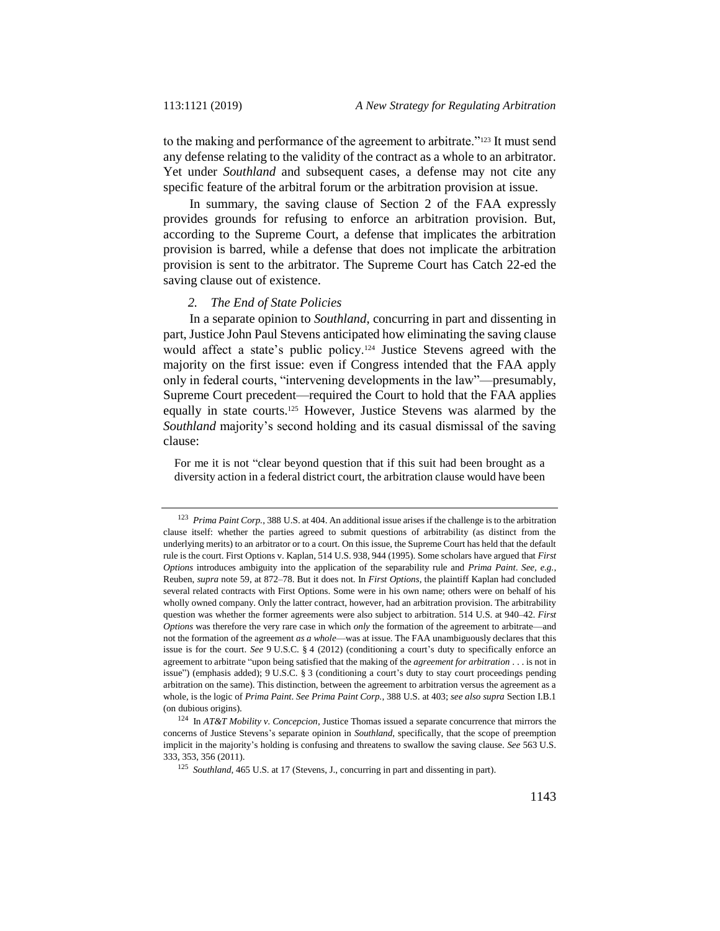to the making and performance of the agreement to arbitrate."<sup>123</sup> It must send any defense relating to the validity of the contract as a whole to an arbitrator. Yet under *Southland* and subsequent cases, a defense may not cite any specific feature of the arbitral forum or the arbitration provision at issue.

In summary, the saving clause of Section 2 of the FAA expressly provides grounds for refusing to enforce an arbitration provision. But, according to the Supreme Court, a defense that implicates the arbitration provision is barred, while a defense that does not implicate the arbitration provision is sent to the arbitrator. The Supreme Court has Catch 22-ed the saving clause out of existence.

#### *2. The End of State Policies*

In a separate opinion to *Southland*, concurring in part and dissenting in part, Justice John Paul Stevens anticipated how eliminating the saving clause would affect a state's public policy.<sup>124</sup> Justice Stevens agreed with the majority on the first issue: even if Congress intended that the FAA apply only in federal courts, "intervening developments in the law"—presumably, Supreme Court precedent—required the Court to hold that the FAA applies equally in state courts.<sup>125</sup> However, Justice Stevens was alarmed by the *Southland* majority's second holding and its casual dismissal of the saving clause:

For me it is not "clear beyond question that if this suit had been brought as a diversity action in a federal district court, the arbitration clause would have been

<sup>123</sup> *Prima Paint Corp.*, 388 U.S. at 404. An additional issue arises if the challenge is to the arbitration clause itself: whether the parties agreed to submit questions of arbitrability (as distinct from the underlying merits) to an arbitrator or to a court. On this issue, the Supreme Court has held that the default rule is the court. First Options v. Kaplan, 514 U.S. 938, 944 (1995). Some scholars have argued that *First Options* introduces ambiguity into the application of the separability rule and *Prima Paint*. *See, e.g.*, Reuben, *supra* not[e 59,](#page-10-0) at 872–78. But it does not. In *First Options*, the plaintiff Kaplan had concluded several related contracts with First Options. Some were in his own name; others were on behalf of his wholly owned company. Only the latter contract, however, had an arbitration provision. The arbitrability question was whether the former agreements were also subject to arbitration. 514 U.S. at 940–42. *First Options* was therefore the very rare case in which *only* the formation of the agreement to arbitrate—and not the formation of the agreement *as a whole*—was at issue. The FAA unambiguously declares that this issue is for the court. *See* 9 U.S.C. § 4 (2012) (conditioning a court's duty to specifically enforce an agreement to arbitrate "upon being satisfied that the making of the *agreement for arbitration* . . . is not in issue") (emphasis added); 9 U.S.C. § 3 (conditioning a court's duty to stay court proceedings pending arbitration on the same). This distinction, between the agreement to arbitration versus the agreement as a whole, is the logic of *Prima Paint*. *See Prima Paint Corp.*, 388 U.S. at 403; *see also supra* Section I.B.1 (on dubious origins).

<sup>124</sup> In *AT&T Mobility v. Concepcion*, Justice Thomas issued a separate concurrence that mirrors the concerns of Justice Stevens's separate opinion in *Southland*, specifically, that the scope of preemption implicit in the majority's holding is confusing and threatens to swallow the saving clause. *See* 563 U.S. 333, 353, 356 (2011).

<sup>&</sup>lt;sup>125</sup> *Southland*, 465 U.S. at 17 (Stevens, J., concurring in part and dissenting in part).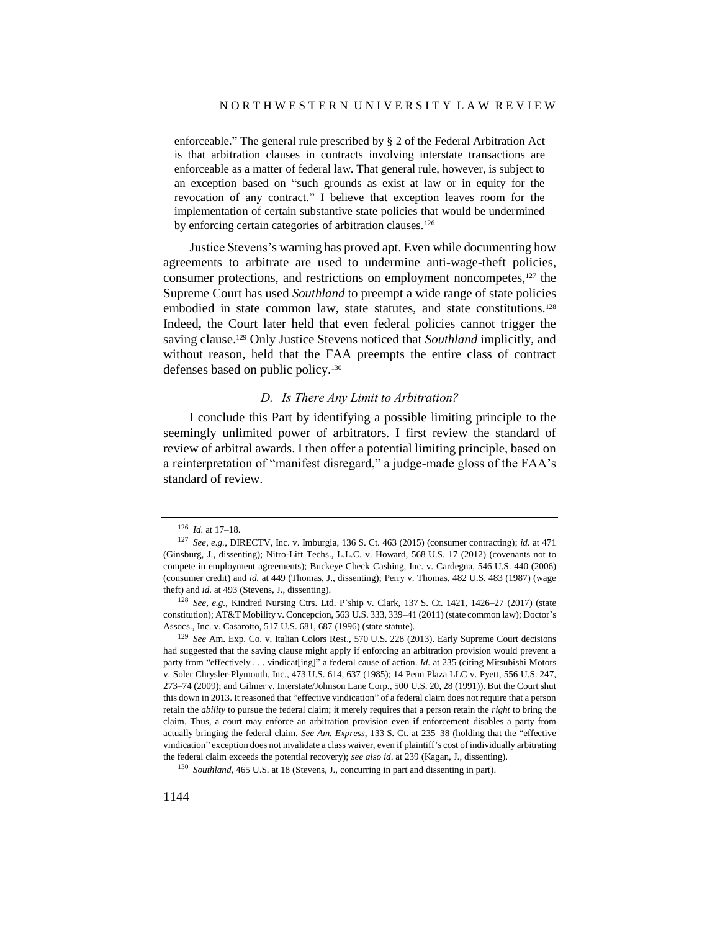enforceable." The general rule prescribed by § 2 of the Federal Arbitration Act is that arbitration clauses in contracts involving interstate transactions are enforceable as a matter of federal law. That general rule, however, is subject to an exception based on "such grounds as exist at law or in equity for the revocation of any contract." I believe that exception leaves room for the implementation of certain substantive state policies that would be undermined by enforcing certain categories of arbitration clauses.<sup>126</sup>

Justice Stevens's warning has proved apt. Even while documenting how agreements to arbitrate are used to undermine anti-wage-theft policies, consumer protections, and restrictions on employment noncompetes,<sup>127</sup> the Supreme Court has used *Southland* to preempt a wide range of state policies embodied in state common law, state statutes, and state constitutions.<sup>128</sup> Indeed, the Court later held that even federal policies cannot trigger the saving clause.<sup>129</sup> Only Justice Stevens noticed that *Southland* implicitly, and without reason, held that the FAA preempts the entire class of contract defenses based on public policy.<sup>130</sup>

#### *D. Is There Any Limit to Arbitration?*

I conclude this Part by identifying a possible limiting principle to the seemingly unlimited power of arbitrators. I first review the standard of review of arbitral awards. I then offer a potential limiting principle, based on a reinterpretation of "manifest disregard," a judge-made gloss of the FAA's standard of review.

<sup>126</sup> *Id.* at 17–18.

<sup>127</sup> *See, e.g.*, DIRECTV, Inc. v. Imburgia, 136 S. Ct. 463 (2015) (consumer contracting); *id.* at 471 (Ginsburg, J., dissenting); Nitro-Lift Techs., L.L.C. v. Howard, 568 U.S. 17 (2012) (covenants not to compete in employment agreements); Buckeye Check Cashing, Inc. v. Cardegna, 546 U.S. 440 (2006) (consumer credit) and *id.* at 449 (Thomas, J., dissenting); Perry v. Thomas, 482 U.S. 483 (1987) (wage theft) and *id.* at 493 (Stevens, J., dissenting).

<sup>128</sup> *See, e.g.*, Kindred Nursing Ctrs. Ltd. P'ship v. Clark, 137 S. Ct. 1421, 1426–27 (2017) (state constitution); AT&T Mobility v. Concepcion, 563 U.S. 333, 339–41 (2011) (state common law); Doctor's Assocs., Inc. v. Casarotto, 517 U.S. 681, 687 (1996) (state statute).

<sup>129</sup> *See* Am. Exp. Co. v. Italian Colors Rest., 570 U.S. 228 (2013). Early Supreme Court decisions had suggested that the saving clause might apply if enforcing an arbitration provision would prevent a party from "effectively . . . vindicat[ing]" a federal cause of action. *Id.* at 235 (citing Mitsubishi Motors v. Soler Chrysler-Plymouth, Inc., 473 U.S. 614, 637 (1985); 14 Penn Plaza LLC v. Pyett, 556 U.S. 247, 273–74 (2009); and Gilmer v. Interstate/Johnson Lane Corp., 500 U.S. 20, 28 (1991)). But the Court shut this down in 2013. It reasoned that "effective vindication" of a federal claim does not require that a person retain the *ability* to pursue the federal claim; it merely requires that a person retain the *right* to bring the claim. Thus, a court may enforce an arbitration provision even if enforcement disables a party from actually bringing the federal claim. *See Am. Express*, 133 S. Ct. at 235–38 (holding that the "effective vindication" exception does not invalidate a class waiver, even if plaintiff's cost of individually arbitrating the federal claim exceeds the potential recovery); *see also id*. at 239 (Kagan, J., dissenting).

<sup>&</sup>lt;sup>130</sup> *Southland*, 465 U.S. at 18 (Stevens, J., concurring in part and dissenting in part).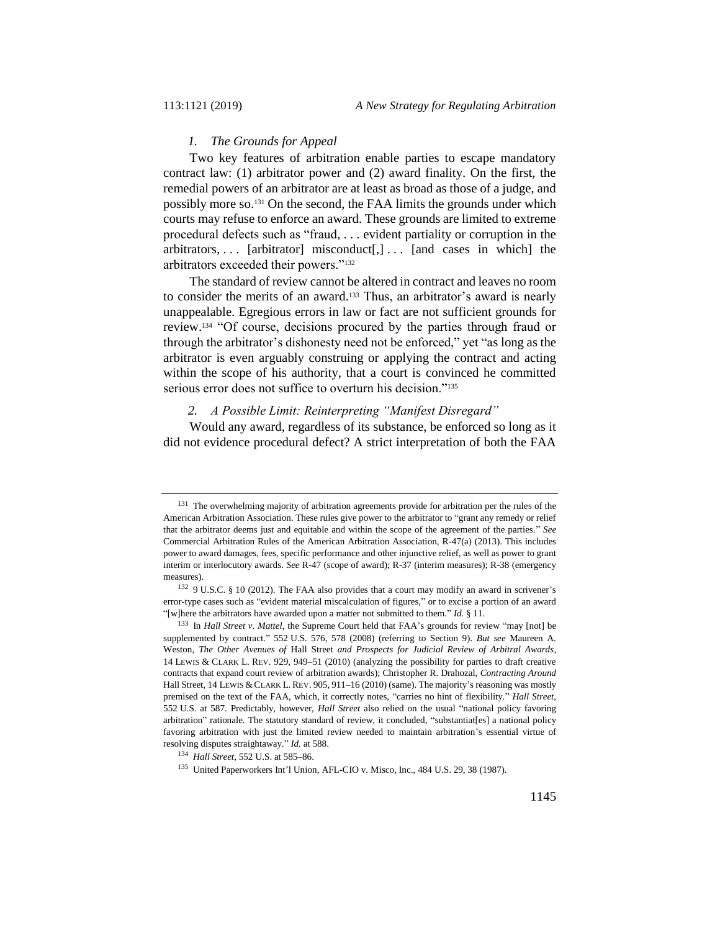#### *1. The Grounds for Appeal*

Two key features of arbitration enable parties to escape mandatory contract law: (1) arbitrator power and (2) award finality. On the first, the remedial powers of an arbitrator are at least as broad as those of a judge, and possibly more so.<sup>131</sup> On the second, the FAA limits the grounds under which courts may refuse to enforce an award. These grounds are limited to extreme procedural defects such as "fraud, . . . evident partiality or corruption in the arbitrators, ... [arbitrator] misconduct[,]... [and cases in which] the arbitrators exceeded their powers."<sup>132</sup>

The standard of review cannot be altered in contract and leaves no room to consider the merits of an award.<sup>133</sup> Thus, an arbitrator's award is nearly unappealable. Egregious errors in law or fact are not sufficient grounds for review.<sup>134</sup> "Of course, decisions procured by the parties through fraud or through the arbitrator's dishonesty need not be enforced," yet "as long as the arbitrator is even arguably construing or applying the contract and acting within the scope of his authority, that a court is convinced he committed serious error does not suffice to overturn his decision."<sup>135</sup>

#### *2. A Possible Limit: Reinterpreting "Manifest Disregard"*

Would any award, regardless of its substance, be enforced so long as it did not evidence procedural defect? A strict interpretation of both the FAA

<sup>&</sup>lt;sup>131</sup> The overwhelming majority of arbitration agreements provide for arbitration per the rules of the American Arbitration Association. These rules give power to the arbitrator to "grant any remedy or relief that the arbitrator deems just and equitable and within the scope of the agreement of the parties." *See* Commercial Arbitration Rules of the American Arbitration Association, R-47(a) (2013). This includes power to award damages, fees, specific performance and other injunctive relief, as well as power to grant interim or interlocutory awards. *See* R-47 (scope of award); R-37 (interim measures); R-38 (emergency measures).

<sup>132</sup> 9 U.S.C. § 10 (2012). The FAA also provides that a court may modify an award in scrivener's error-type cases such as "evident material miscalculation of figures," or to excise a portion of an award "[w]here the arbitrators have awarded upon a matter not submitted to them." *Id.* § 11.

<sup>133</sup> In *Hall Street v. Mattel*, the Supreme Court held that FAA's grounds for review "may [not] be supplemented by contract." 552 U.S. 576, 578 (2008) (referring to Section 9). *But see* Maureen A. Weston, *The Other Avenues of* Hall Street *and Prospects for Judicial Review of Arbitral Awards*, 14 LEWIS & CLARK L. REV. 929, 949–51 (2010) (analyzing the possibility for parties to draft creative contracts that expand court review of arbitration awards); Christopher R. Drahozal, *Contracting Around*  Hall Street, 14 LEWIS & CLARK L. REV. 905, 911-16 (2010) (same). The majority's reasoning was mostly premised on the text of the FAA, which, it correctly notes, "carries no hint of flexibility." *Hall Street*, 552 U.S. at 587. Predictably, however, *Hall Street* also relied on the usual "national policy favoring arbitration" rationale. The statutory standard of review, it concluded, "substantiat[es] a national policy favoring arbitration with just the limited review needed to maintain arbitration's essential virtue of resolving disputes straightaway." *Id.* at 588.

<sup>134</sup> *Hall Street*, 552 U.S. at 585–86.

<sup>135</sup> United Paperworkers Int'l Union, AFL-CIO v. Misco, Inc., 484 U.S. 29, 38 (1987).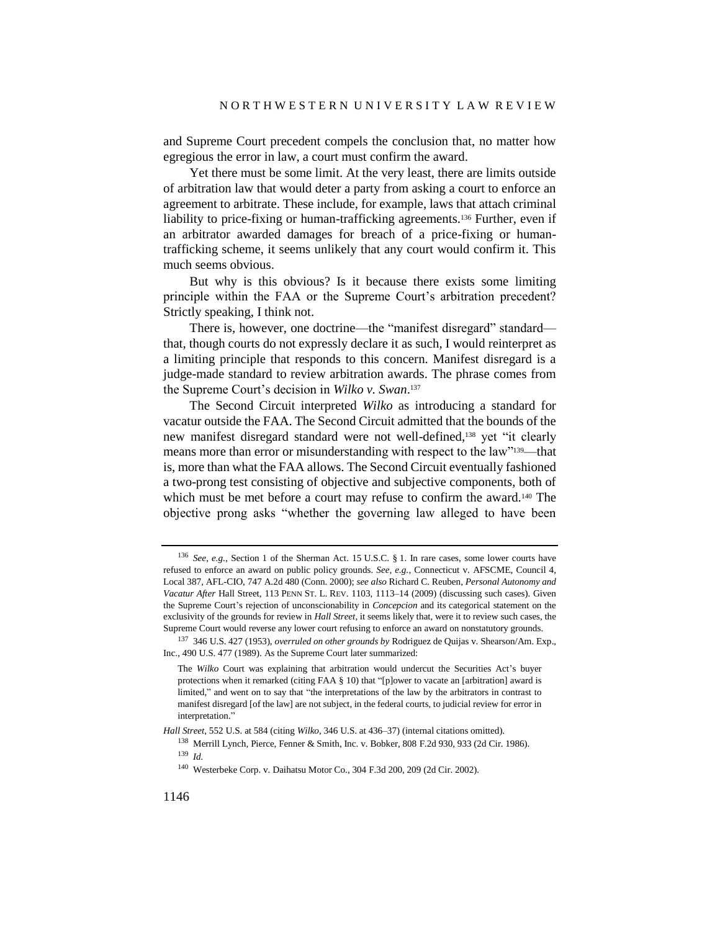and Supreme Court precedent compels the conclusion that, no matter how egregious the error in law, a court must confirm the award.

<span id="page-25-0"></span>Yet there must be some limit. At the very least, there are limits outside of arbitration law that would deter a party from asking a court to enforce an agreement to arbitrate. These include, for example, laws that attach criminal liability to price-fixing or human-trafficking agreements.<sup>136</sup> Further, even if an arbitrator awarded damages for breach of a price-fixing or humantrafficking scheme, it seems unlikely that any court would confirm it. This much seems obvious.

But why is this obvious? Is it because there exists some limiting principle within the FAA or the Supreme Court's arbitration precedent? Strictly speaking, I think not.

There is, however, one doctrine—the "manifest disregard" standard that, though courts do not expressly declare it as such, I would reinterpret as a limiting principle that responds to this concern. Manifest disregard is a judge-made standard to review arbitration awards. The phrase comes from the Supreme Court's decision in *Wilko v. Swan*. 137

The Second Circuit interpreted *Wilko* as introducing a standard for vacatur outside the FAA. The Second Circuit admitted that the bounds of the new manifest disregard standard were not well-defined,<sup>138</sup> yet "it clearly means more than error or misunderstanding with respect to the law"139—that is, more than what the FAA allows. The Second Circuit eventually fashioned a two-prong test consisting of objective and subjective components, both of which must be met before a court may refuse to confirm the award.<sup>140</sup> The objective prong asks "whether the governing law alleged to have been

*Hall Street*, 552 U.S. at 584 (citing *Wilko*, 346 U.S. at 436–37) (internal citations omitted).

<sup>136</sup> *See, e.g.*, Section 1 of the Sherman Act. 15 U.S.C. § 1. In rare cases, some lower courts have refused to enforce an award on public policy grounds. *See, e.g.*, Connecticut v. AFSCME, Council 4, Local 387, AFL-CIO, 747 A.2d 480 (Conn. 2000); *see also* Richard C. Reuben, *Personal Autonomy and Vacatur After* Hall Street, 113 PENN ST. L. REV. 1103, 1113–14 (2009) (discussing such cases). Given the Supreme Court's rejection of unconscionability in *Concepcion* and its categorical statement on the exclusivity of the grounds for review in *Hall Street*, it seems likely that, were it to review such cases, the Supreme Court would reverse any lower court refusing to enforce an award on nonstatutory grounds.

<sup>137</sup> 346 U.S. 427 (1953), *overruled on other grounds by* Rodriguez de Quijas v. Shearson/Am. Exp., Inc., 490 U.S. 477 (1989). As the Supreme Court later summarized:

The *Wilko* Court was explaining that arbitration would undercut the Securities Act's buyer protections when it remarked (citing FAA § 10) that "[p]ower to vacate an [arbitration] award is limited," and went on to say that "the interpretations of the law by the arbitrators in contrast to manifest disregard [of the law] are not subject, in the federal courts, to judicial review for error in interpretation."

<sup>138</sup> Merrill Lynch, Pierce, Fenner & Smith, Inc. v. Bobker, 808 F.2d 930, 933 (2d Cir. 1986). <sup>139</sup> *Id.*

<sup>140</sup> Westerbeke Corp. v. Daihatsu Motor Co., 304 F.3d 200, 209 (2d Cir. 2002).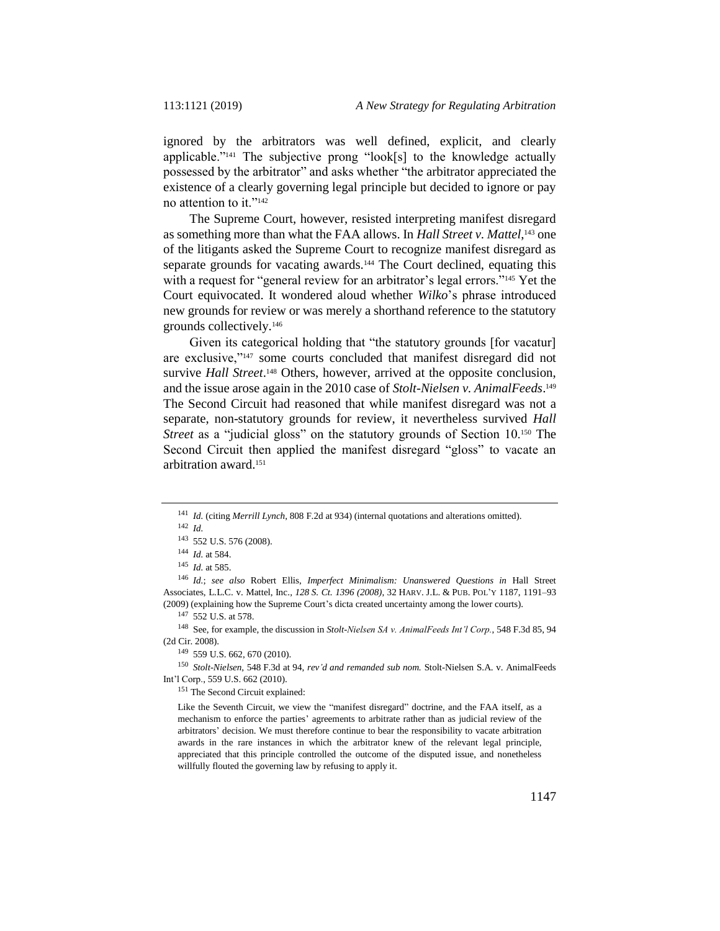ignored by the arbitrators was well defined, explicit, and clearly applicable."<sup>141</sup> The subjective prong "look[s] to the knowledge actually possessed by the arbitrator" and asks whether "the arbitrator appreciated the existence of a clearly governing legal principle but decided to ignore or pay no attention to it."<sup>142</sup>

The Supreme Court, however, resisted interpreting manifest disregard as something more than what the FAA allows. In *Hall Street v. Mattel*,<sup>143</sup> one of the litigants asked the Supreme Court to recognize manifest disregard as separate grounds for vacating awards.<sup>144</sup> The Court declined, equating this with a request for "general review for an arbitrator's legal errors."<sup>145</sup> Yet the Court equivocated. It wondered aloud whether *Wilko*'s phrase introduced new grounds for review or was merely a shorthand reference to the statutory grounds collectively.<sup>146</sup>

Given its categorical holding that "the statutory grounds [for vacatur] are exclusive,"<sup>147</sup> some courts concluded that manifest disregard did not survive *Hall Street*.<sup>148</sup> Others, however, arrived at the opposite conclusion, and the issue arose again in the 2010 case of *Stolt-Nielsen v. AnimalFeeds*. 149 The Second Circuit had reasoned that while manifest disregard was not a separate, non-statutory grounds for review, it nevertheless survived *Hall Street* as a "judicial gloss" on the statutory grounds of Section 10.<sup>150</sup> The Second Circuit then applied the manifest disregard "gloss" to vacate an arbitration award.<sup>151</sup>

<sup>146</sup> *Id.*; *see also* Robert Ellis, *Imperfect Minimalism: Unanswered Questions in* Hall Street Associates, L.L.C. v. Mattel, Inc.*, 128 S. Ct. 1396 (2008)*, 32 HARV. J.L. & PUB. POL'Y 1187, 1191–93 (2009) (explaining how the Supreme Court's dicta created uncertainty among the lower courts).

<sup>147</sup> 552 U.S. at 578.

<sup>149</sup> 559 U.S. 662, 670 (2010).

<sup>150</sup> *Stolt-Nielsen*, 548 F.3d at 94, *rev'd and remanded sub nom.* Stolt-Nielsen S.A. v. AnimalFeeds Int'l Corp., 559 U.S. 662 (2010).

<sup>151</sup> The Second Circuit explained:

Like the Seventh Circuit, we view the "manifest disregard" doctrine, and the FAA itself, as a mechanism to enforce the parties' agreements to arbitrate rather than as judicial review of the arbitrators' decision. We must therefore continue to bear the responsibility to vacate arbitration awards in the rare instances in which the arbitrator knew of the relevant legal principle, appreciated that this principle controlled the outcome of the disputed issue, and nonetheless willfully flouted the governing law by refusing to apply it.

<sup>141</sup> *Id.* (citing *Merrill Lynch*, 808 F.2d at 934) (internal quotations and alterations omitted).

<sup>142</sup> *Id.*

<sup>143</sup> 552 U.S. 576 (2008).

<sup>144</sup> *Id.* at 584.

<sup>145</sup> *Id.* at 585.

<sup>148</sup> See, for example, the discussion in *Stolt-Nielsen SA v. AnimalFeeds Int'l Corp.*, 548 F.3d 85, 94 (2d Cir. 2008).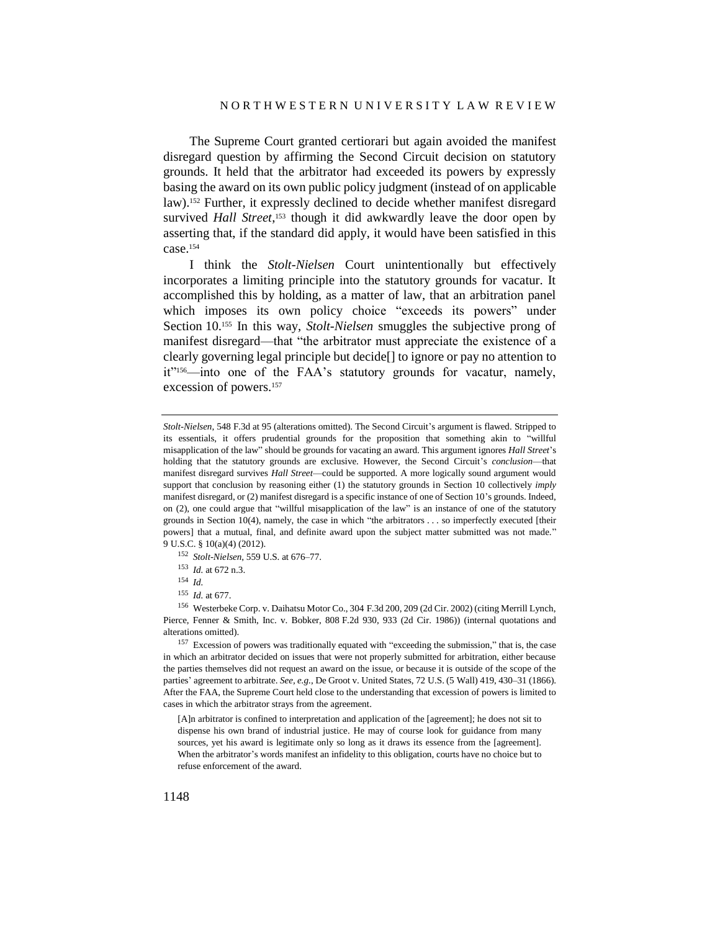The Supreme Court granted certiorari but again avoided the manifest disregard question by affirming the Second Circuit decision on statutory grounds. It held that the arbitrator had exceeded its powers by expressly basing the award on its own public policy judgment (instead of on applicable law).<sup>152</sup> Further, it expressly declined to decide whether manifest disregard survived *Hall Street*,<sup>153</sup> though it did awkwardly leave the door open by asserting that, if the standard did apply, it would have been satisfied in this case.<sup>154</sup>

I think the *Stolt-Nielsen* Court unintentionally but effectively incorporates a limiting principle into the statutory grounds for vacatur. It accomplished this by holding, as a matter of law, that an arbitration panel which imposes its own policy choice "exceeds its powers" under Section 10.<sup>155</sup> In this way, *Stolt-Nielsen* smuggles the subjective prong of manifest disregard—that "the arbitrator must appreciate the existence of a clearly governing legal principle but decide[] to ignore or pay no attention to it"156—into one of the FAA's statutory grounds for vacatur, namely, excession of powers.<sup>157</sup>

- <sup>152</sup> *Stolt-Nielsen*, 559 U.S. at 676–77.
- <sup>153</sup> *Id.* at 672 n.3.
- <sup>154</sup> *Id.*
- <sup>155</sup> *Id.* at 677.

<sup>156</sup> Westerbeke Corp. v. Daihatsu Motor Co., 304 F.3d 200, 209 (2d Cir. 2002) (citing Merrill Lynch, Pierce, Fenner & Smith, Inc. v. Bobker, 808 F.2d 930, 933 (2d Cir. 1986)) (internal quotations and alterations omitted).

<sup>157</sup> Excession of powers was traditionally equated with "exceeding the submission," that is, the case in which an arbitrator decided on issues that were not properly submitted for arbitration, either because the parties themselves did not request an award on the issue, or because it is outside of the scope of the parties' agreement to arbitrate. *See, e.g.*, De Groot v. United States, 72 U.S. (5 Wall) 419, 430–31 (1866). After the FAA, the Supreme Court held close to the understanding that excession of powers is limited to cases in which the arbitrator strays from the agreement.

[A]n arbitrator is confined to interpretation and application of the [agreement]; he does not sit to dispense his own brand of industrial justice. He may of course look for guidance from many sources, yet his award is legitimate only so long as it draws its essence from the [agreement]. When the arbitrator's words manifest an infidelity to this obligation, courts have no choice but to refuse enforcement of the award.

*Stolt-Nielsen*, 548 F.3d at 95 (alterations omitted). The Second Circuit's argument is flawed. Stripped to its essentials, it offers prudential grounds for the proposition that something akin to "willful misapplication of the law" should be grounds for vacating an award. This argument ignores *Hall Street*'s holding that the statutory grounds are exclusive. However, the Second Circuit's *conclusion*—that manifest disregard survives *Hall Street*—could be supported. A more logically sound argument would support that conclusion by reasoning either (1) the statutory grounds in Section 10 collectively *imply*  manifest disregard, or (2) manifest disregard is a specific instance of one of Section 10's grounds. Indeed, on (2), one could argue that "willful misapplication of the law" is an instance of one of the statutory grounds in Section 10(4), namely, the case in which "the arbitrators . . . so imperfectly executed [their powers] that a mutual, final, and definite award upon the subject matter submitted was not made." 9 U.S.C. § 10(a)(4) (2012).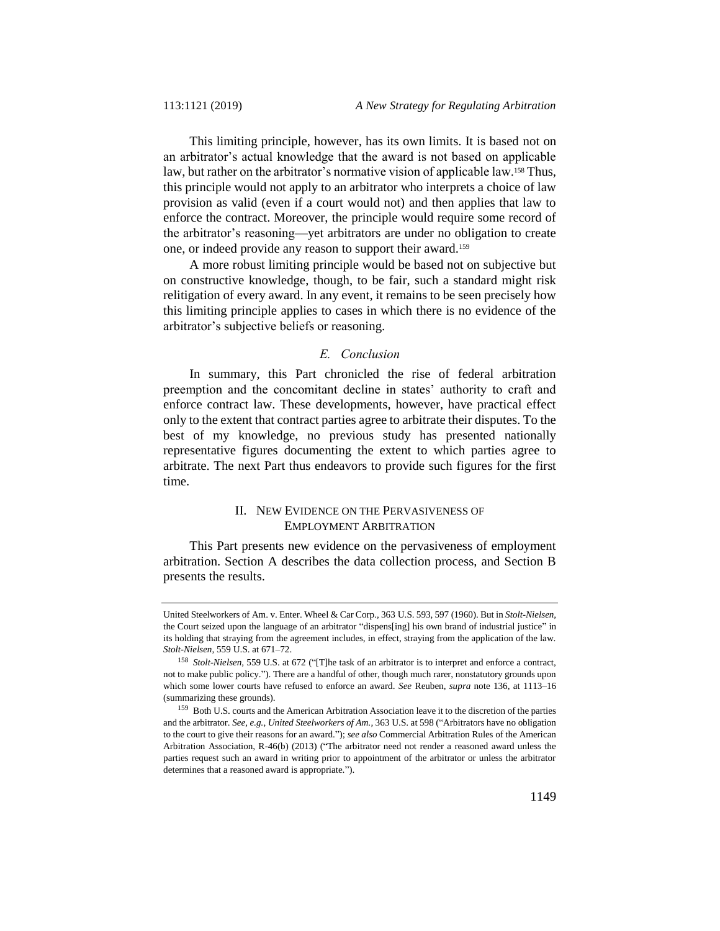This limiting principle, however, has its own limits. It is based not on an arbitrator's actual knowledge that the award is not based on applicable law, but rather on the arbitrator's normative vision of applicable law.<sup>158</sup> Thus, this principle would not apply to an arbitrator who interprets a choice of law provision as valid (even if a court would not) and then applies that law to enforce the contract. Moreover, the principle would require some record of the arbitrator's reasoning—yet arbitrators are under no obligation to create one, or indeed provide any reason to support their award.<sup>159</sup>

A more robust limiting principle would be based not on subjective but on constructive knowledge, though, to be fair, such a standard might risk relitigation of every award. In any event, it remains to be seen precisely how this limiting principle applies to cases in which there is no evidence of the arbitrator's subjective beliefs or reasoning.

### *E. Conclusion*

In summary, this Part chronicled the rise of federal arbitration preemption and the concomitant decline in states' authority to craft and enforce contract law. These developments, however, have practical effect only to the extent that contract parties agree to arbitrate their disputes. To the best of my knowledge, no previous study has presented nationally representative figures documenting the extent to which parties agree to arbitrate. The next Part thus endeavors to provide such figures for the first time.

### II. NEW EVIDENCE ON THE PERVASIVENESS OF EMPLOYMENT ARBITRATION

This Part presents new evidence on the pervasiveness of employment arbitration. Section A describes the data collection process, and Section B presents the results.

United Steelworkers of Am. v. Enter. Wheel & Car Corp., 363 U.S. 593, 597 (1960). But in *Stolt-Nielsen*, the Court seized upon the language of an arbitrator "dispens[ing] his own brand of industrial justice" in its holding that straying from the agreement includes, in effect, straying from the application of the law. *Stolt-Nielsen*, 559 U.S. at 671–72.

<sup>158</sup> *Stolt-Nielsen*, 559 U.S. at 672 ("[T]he task of an arbitrator is to interpret and enforce a contract, not to make public policy."). There are a handful of other, though much rarer, nonstatutory grounds upon which some lower courts have refused to enforce an award. *See* Reuben, *supra* not[e 136,](#page-25-0) at 1113–16 (summarizing these grounds).

<sup>159</sup> Both U.S. courts and the American Arbitration Association leave it to the discretion of the parties and the arbitrator. *See, e.g.*, *United Steelworkers of Am.*, 363 U.S. at 598 ("Arbitrators have no obligation to the court to give their reasons for an award."); *see also* Commercial Arbitration Rules of the American Arbitration Association, R-46(b) (2013) ("The arbitrator need not render a reasoned award unless the parties request such an award in writing prior to appointment of the arbitrator or unless the arbitrator determines that a reasoned award is appropriate.").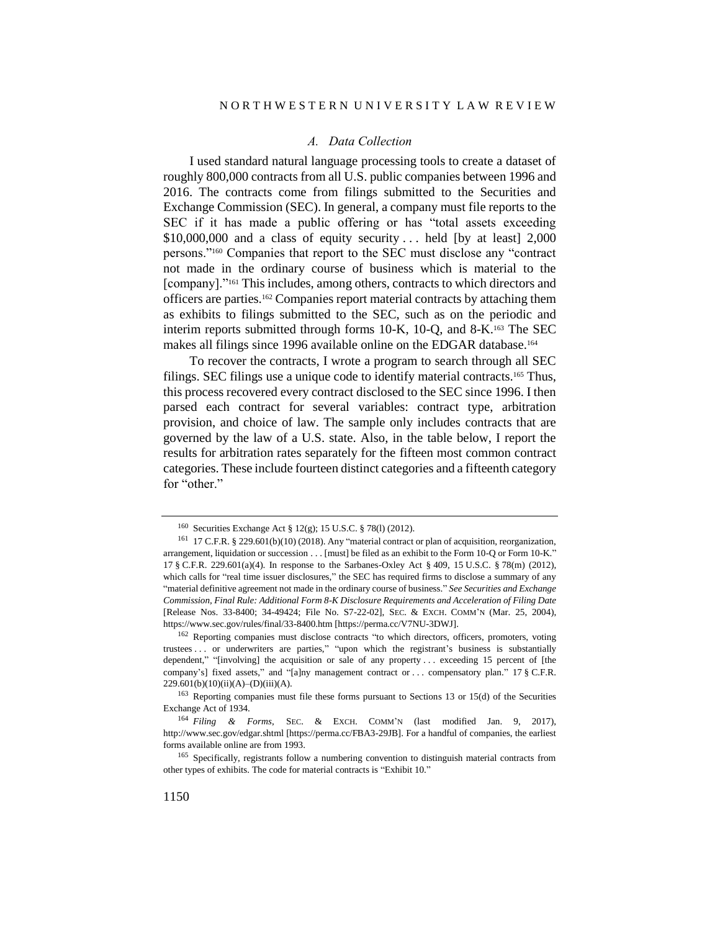#### *A. Data Collection*

I used standard natural language processing tools to create a dataset of roughly 800,000 contracts from all U.S. public companies between 1996 and 2016. The contracts come from filings submitted to the Securities and Exchange Commission (SEC). In general, a company must file reports to the SEC if it has made a public offering or has "total assets exceeding  $$10,000,000$  and a class of equity security ... held [by at least] 2,000 persons."<sup>160</sup> Companies that report to the SEC must disclose any "contract not made in the ordinary course of business which is material to the [company]."<sup>161</sup> This includes, among others, contracts to which directors and officers are parties.<sup>162</sup> Companies report material contracts by attaching them as exhibits to filings submitted to the SEC, such as on the periodic and interim reports submitted through forms 10-K, 10-Q, and 8-K.<sup>163</sup> The SEC makes all filings since 1996 available online on the EDGAR database.<sup>164</sup>

To recover the contracts, I wrote a program to search through all SEC filings. SEC filings use a unique code to identify material contracts.<sup>165</sup> Thus, this process recovered every contract disclosed to the SEC since 1996. I then parsed each contract for several variables: contract type, arbitration provision, and choice of law. The sample only includes contracts that are governed by the law of a U.S. state. Also, in the table below, I report the results for arbitration rates separately for the fifteen most common contract categories. These include fourteen distinct categories and a fifteenth category for "other."

<sup>160</sup> Securities Exchange Act § 12(g); 15 U.S.C. § 78(l) (2012).

<sup>161</sup> 17 C.F.R. § 229.601(b)(10) (2018). Any "material contract or plan of acquisition, reorganization, arrangement, liquidation or succession . . . [must] be filed as an exhibit to the Form 10-Q or Form 10-K." 17 § C.F.R. 229.601(a)(4). In response to the Sarbanes-Oxley Act § 409, 15 U.S.C. § 78(m) (2012), which calls for "real time issuer disclosures," the SEC has required firms to disclose a summary of any "material definitive agreement not made in the ordinary course of business." *See Securities and Exchange Commission, Final Rule: Additional Form 8-K Disclosure Requirements and Acceleration of Filing Date* [Release Nos. 33-8400; 34-49424; File No. S7-22-02], SEC. & EXCH. COMM'N (Mar. 25, 2004), https://www.sec.gov/rules/final/33-8400.htm [https://perma.cc/V7NU-3DWJ].

<sup>162</sup> Reporting companies must disclose contracts "to which directors, officers, promoters, voting trustees . . . or underwriters are parties," "upon which the registrant's business is substantially dependent," "[involving] the acquisition or sale of any property . . . exceeding 15 percent of [the company's] fixed assets," and "[a]ny management contract or . . . compensatory plan." 17 § C.F.R.  $229.601(b)(10)(ii)(A) - (D)(iii)(A).$ 

<sup>163</sup> Reporting companies must file these forms pursuant to Sections 13 or 15(d) of the Securities Exchange Act of 1934.

<sup>164</sup> *Filing & Forms*, SEC. & EXCH. COMM'<sup>N</sup> (last modified Jan. 9, 2017), http://www.sec.gov/edgar.shtml [https://perma.cc/FBA3-29JB]. For a handful of companies, the earliest forms available online are from 1993.

<sup>165</sup> Specifically, registrants follow a numbering convention to distinguish material contracts from other types of exhibits. The code for material contracts is "Exhibit 10."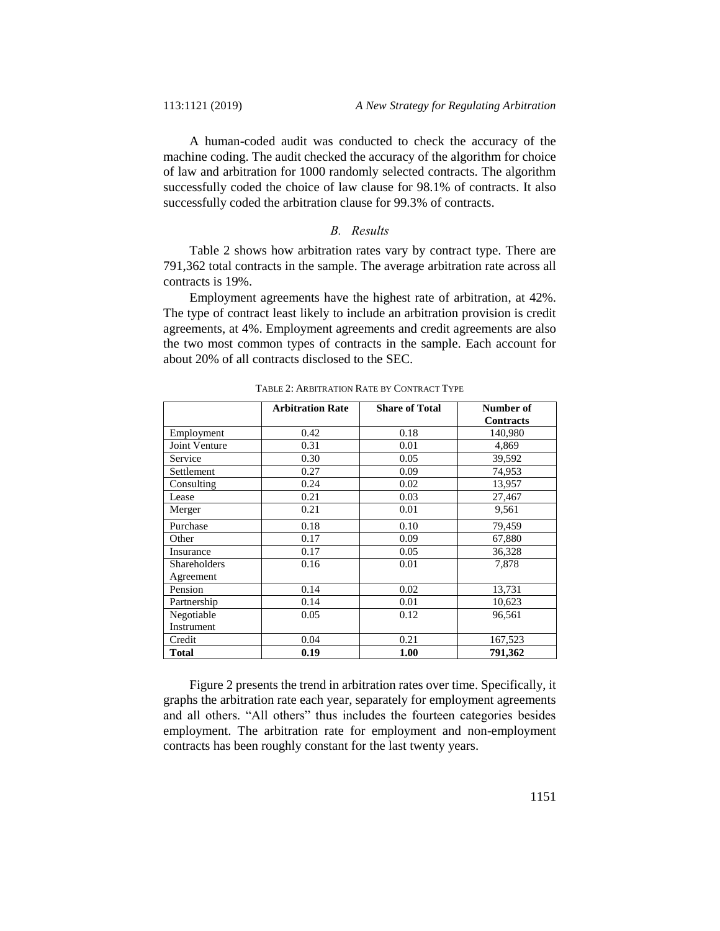A human-coded audit was conducted to check the accuracy of the machine coding. The audit checked the accuracy of the algorithm for choice of law and arbitration for 1000 randomly selected contracts. The algorithm successfully coded the choice of law clause for 98.1% of contracts. It also successfully coded the arbitration clause for 99.3% of contracts.

### *B. Results*

Table 2 shows how arbitration rates vary by contract type. There are 791,362 total contracts in the sample. The average arbitration rate across all contracts is 19%.

Employment agreements have the highest rate of arbitration, at 42%. The type of contract least likely to include an arbitration provision is credit agreements, at 4%. Employment agreements and credit agreements are also the two most common types of contracts in the sample. Each account for about 20% of all contracts disclosed to the SEC.

|                                  | <b>Arbitration Rate</b> | <b>Share of Total</b> | Number of<br><b>Contracts</b> |
|----------------------------------|-------------------------|-----------------------|-------------------------------|
| Employment                       | 0.42                    | 0.18                  | 140,980                       |
| Joint Venture                    | 0.31                    | 0.01                  | 4,869                         |
| Service                          | 0.30                    | 0.05                  | 39,592                        |
| Settlement                       | 0.27                    | 0.09                  | 74,953                        |
| Consulting                       | 0.24                    | 0.02                  | 13,957                        |
| Lease                            | 0.21                    | 0.03                  | 27,467                        |
| Merger                           | 0.21                    | 0.01                  | 9,561                         |
| Purchase                         | 0.18                    | 0.10                  | 79,459                        |
| Other                            | 0.17                    | 0.09                  | 67,880                        |
| Insurance                        | 0.17                    | 0.05                  | 36,328                        |
| <b>Shareholders</b><br>Agreement | 0.16                    | 0.01                  | 7,878                         |
| Pension                          | 0.14                    | 0.02                  | 13,731                        |
| Partnership                      | 0.14                    | 0.01                  | 10,623                        |
| Negotiable                       | 0.05                    | 0.12                  | 96,561                        |
| Instrument                       |                         |                       |                               |
| Credit                           | 0.04                    | 0.21                  | 167,523                       |
| <b>Total</b>                     | 0.19                    | 1.00                  | 791,362                       |

TABLE 2: ARBITRATION RATE BY CONTRACT TYPE

Figure 2 presents the trend in arbitration rates over time. Specifically, it graphs the arbitration rate each year, separately for employment agreements and all others. "All others" thus includes the fourteen categories besides employment. The arbitration rate for employment and non-employment contracts has been roughly constant for the last twenty years.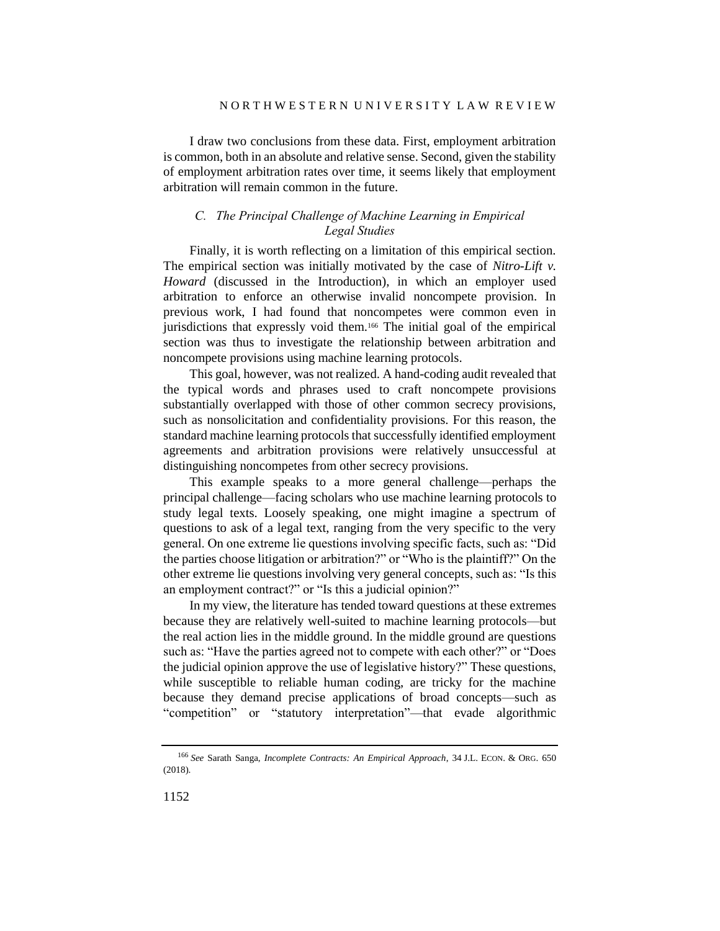I draw two conclusions from these data. First, employment arbitration is common, both in an absolute and relative sense. Second, given the stability of employment arbitration rates over time, it seems likely that employment arbitration will remain common in the future.

### *C. The Principal Challenge of Machine Learning in Empirical Legal Studies*

Finally, it is worth reflecting on a limitation of this empirical section. The empirical section was initially motivated by the case of *Nitro-Lift v. Howard* (discussed in the Introduction), in which an employer used arbitration to enforce an otherwise invalid noncompete provision. In previous work, I had found that noncompetes were common even in jurisdictions that expressly void them.<sup>166</sup> The initial goal of the empirical section was thus to investigate the relationship between arbitration and noncompete provisions using machine learning protocols.

This goal, however, was not realized. A hand-coding audit revealed that the typical words and phrases used to craft noncompete provisions substantially overlapped with those of other common secrecy provisions, such as nonsolicitation and confidentiality provisions. For this reason, the standard machine learning protocols that successfully identified employment agreements and arbitration provisions were relatively unsuccessful at distinguishing noncompetes from other secrecy provisions.

This example speaks to a more general challenge—perhaps the principal challenge—facing scholars who use machine learning protocols to study legal texts. Loosely speaking, one might imagine a spectrum of questions to ask of a legal text, ranging from the very specific to the very general. On one extreme lie questions involving specific facts, such as: "Did the parties choose litigation or arbitration?" or "Who is the plaintiff?" On the other extreme lie questions involving very general concepts, such as: "Is this an employment contract?" or "Is this a judicial opinion?"

In my view, the literature has tended toward questions at these extremes because they are relatively well-suited to machine learning protocols—but the real action lies in the middle ground. In the middle ground are questions such as: "Have the parties agreed not to compete with each other?" or "Does the judicial opinion approve the use of legislative history?" These questions, while susceptible to reliable human coding, are tricky for the machine because they demand precise applications of broad concepts—such as "competition" or "statutory interpretation"—that evade algorithmic

<sup>166</sup> *See* Sarath Sanga, *Incomplete Contracts: An Empirical Approach*, 34 J.L. ECON. & ORG. 650 (2018).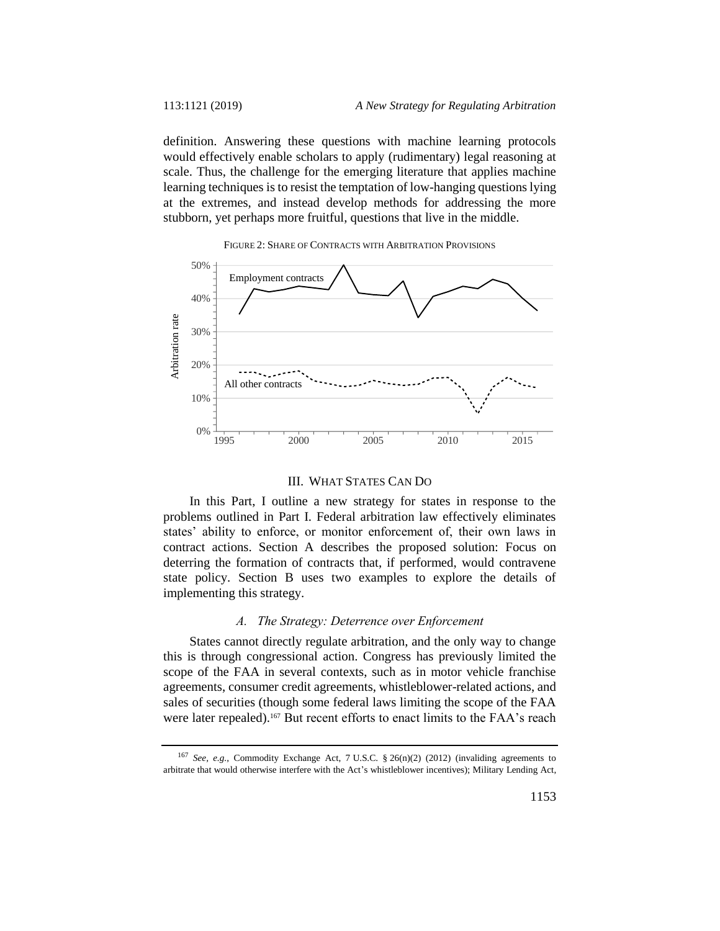definition. Answering these questions with machine learning protocols would effectively enable scholars to apply (rudimentary) legal reasoning at scale. Thus, the challenge for the emerging literature that applies machine learning techniques is to resist the temptation of low-hanging questions lying at the extremes, and instead develop methods for addressing the more stubborn, yet perhaps more fruitful, questions that live in the middle.





#### III. WHAT STATES CAN DO

In this Part, I outline a new strategy for states in response to the problems outlined in Part I. Federal arbitration law effectively eliminates states' ability to enforce, or monitor enforcement of, their own laws in contract actions. Section A describes the proposed solution: Focus on deterring the formation of contracts that, if performed, would contravene state policy. Section B uses two examples to explore the details of implementing this strategy.

### *A. The Strategy: Deterrence over Enforcement*

States cannot directly regulate arbitration, and the only way to change this is through congressional action. Congress has previously limited the scope of the FAA in several contexts, such as in motor vehicle franchise agreements, consumer credit agreements, whistleblower-related actions, and sales of securities (though some federal laws limiting the scope of the FAA were later repealed).<sup>167</sup> But recent efforts to enact limits to the FAA's reach

<sup>167</sup> *See, e.g.*, Commodity Exchange Act, 7 U.S.C. § 26(n)(2) (2012) (invaliding agreements to arbitrate that would otherwise interfere with the Act's whistleblower incentives); Military Lending Act,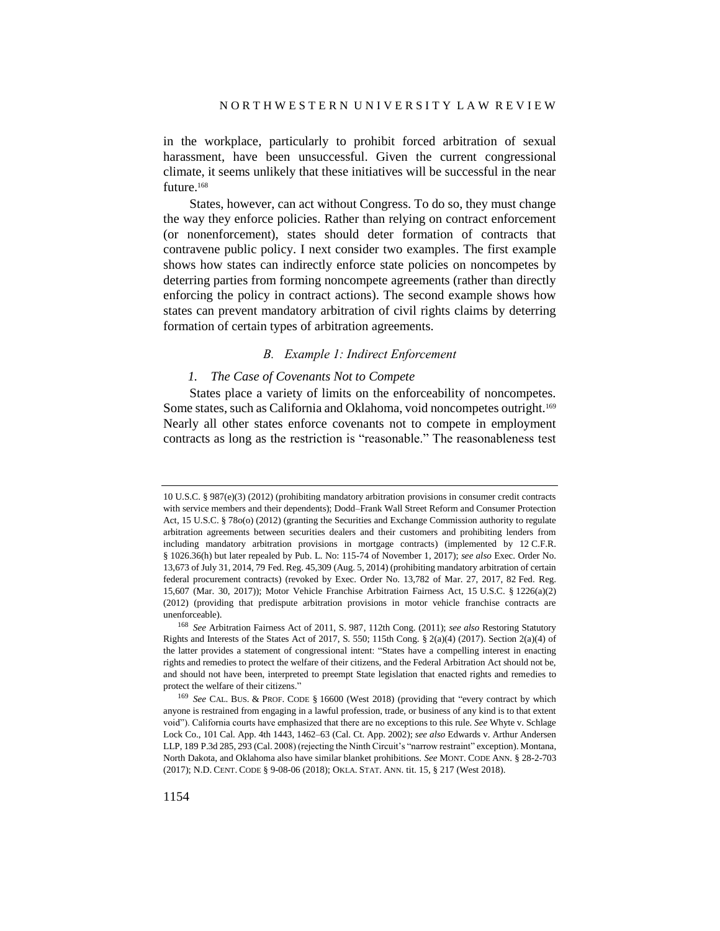in the workplace, particularly to prohibit forced arbitration of sexual harassment, have been unsuccessful. Given the current congressional climate, it seems unlikely that these initiatives will be successful in the near future.<sup>168</sup>

States, however, can act without Congress. To do so, they must change the way they enforce policies. Rather than relying on contract enforcement (or nonenforcement), states should deter formation of contracts that contravene public policy. I next consider two examples. The first example shows how states can indirectly enforce state policies on noncompetes by deterring parties from forming noncompete agreements (rather than directly enforcing the policy in contract actions). The second example shows how states can prevent mandatory arbitration of civil rights claims by deterring formation of certain types of arbitration agreements.

#### *B. Example 1: Indirect Enforcement*

### *1. The Case of Covenants Not to Compete*

States place a variety of limits on the enforceability of noncompetes. Some states, such as California and Oklahoma, void noncompetes outright.<sup>169</sup> Nearly all other states enforce covenants not to compete in employment contracts as long as the restriction is "reasonable." The reasonableness test

<sup>10</sup> U.S.C. § 987(e)(3) (2012) (prohibiting mandatory arbitration provisions in consumer credit contracts with service members and their dependents); Dodd–Frank Wall Street Reform and Consumer Protection Act, 15 U.S.C. § 78o(o) (2012) (granting the Securities and Exchange Commission authority to regulate arbitration agreements between securities dealers and their customers and prohibiting lenders from including mandatory arbitration provisions in mortgage contracts) (implemented by 12 C.F.R. § 1026.36(h) but later repealed by Pub. L. No: 115-74 of November 1, 2017); *see also* Exec. Order No. 13,673 of July 31, 2014, 79 Fed. Reg. 45,309 (Aug. 5, 2014) (prohibiting mandatory arbitration of certain federal procurement contracts) (revoked by Exec. Order No. 13,782 of Mar. 27, 2017, 82 Fed. Reg. 15,607 (Mar. 30, 2017)); Motor Vehicle Franchise Arbitration Fairness Act, 15 U.S.C. § 1226(a)(2) (2012) (providing that predispute arbitration provisions in motor vehicle franchise contracts are unenforceable).

<sup>168</sup> *See* Arbitration Fairness Act of 2011, S. 987, 112th Cong. (2011); *see also* Restoring Statutory Rights and Interests of the States Act of 2017, S. 550; 115th Cong. § 2(a)(4) (2017). Section 2(a)(4) of the latter provides a statement of congressional intent: "States have a compelling interest in enacting rights and remedies to protect the welfare of their citizens, and the Federal Arbitration Act should not be, and should not have been, interpreted to preempt State legislation that enacted rights and remedies to protect the welfare of their citizens."

<sup>169</sup> *See* CAL. BUS. & PROF. CODE § 16600 (West 2018) (providing that "every contract by which anyone is restrained from engaging in a lawful profession, trade, or business of any kind is to that extent void"). California courts have emphasized that there are no exceptions to this rule. *See* Whyte v. Schlage Lock Co., 101 Cal. App. 4th 1443, 1462–63 (Cal. Ct. App. 2002); *see also* Edwards v. Arthur Andersen LLP, 189 P.3d 285, 293 (Cal. 2008) (rejecting the Ninth Circuit's "narrow restraint" exception). Montana, North Dakota, and Oklahoma also have similar blanket prohibitions. *See* MONT. CODE ANN. § 28-2-703 (2017); N.D. CENT. CODE § 9-08-06 (2018); OKLA. STAT. ANN. tit. 15, § 217 (West 2018).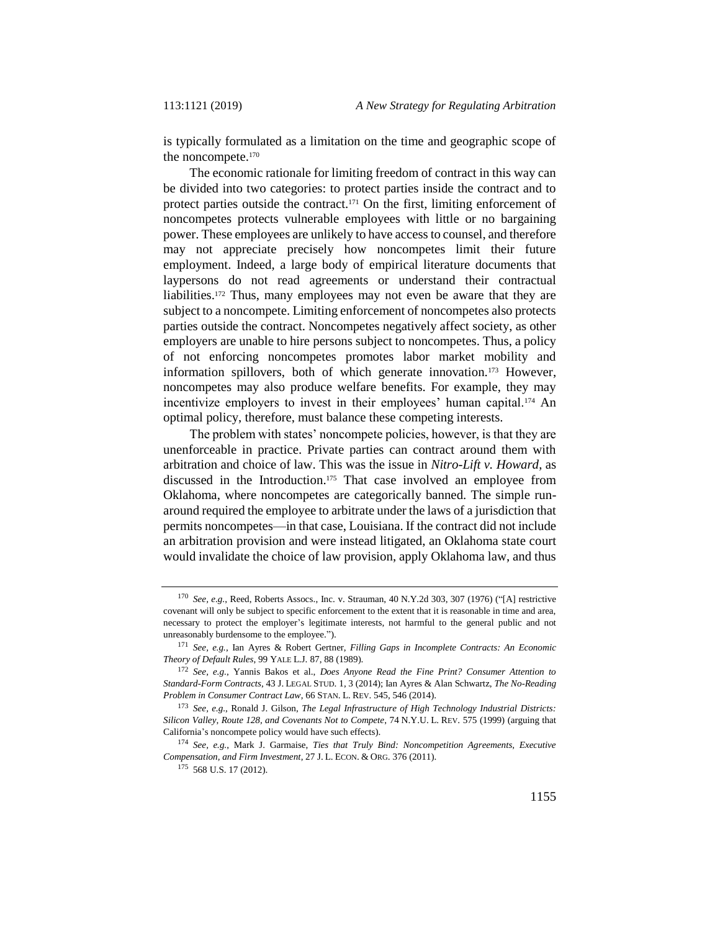is typically formulated as a limitation on the time and geographic scope of the noncompete.<sup>170</sup>

The economic rationale for limiting freedom of contract in this way can be divided into two categories: to protect parties inside the contract and to protect parties outside the contract.<sup>171</sup> On the first, limiting enforcement of noncompetes protects vulnerable employees with little or no bargaining power. These employees are unlikely to have access to counsel, and therefore may not appreciate precisely how noncompetes limit their future employment. Indeed, a large body of empirical literature documents that laypersons do not read agreements or understand their contractual liabilities.<sup>172</sup> Thus, many employees may not even be aware that they are subject to a noncompete. Limiting enforcement of noncompetes also protects parties outside the contract. Noncompetes negatively affect society, as other employers are unable to hire persons subject to noncompetes. Thus, a policy of not enforcing noncompetes promotes labor market mobility and information spillovers, both of which generate innovation.<sup>173</sup> However, noncompetes may also produce welfare benefits. For example, they may incentivize employers to invest in their employees' human capital.<sup>174</sup> An optimal policy, therefore, must balance these competing interests.

The problem with states' noncompete policies, however, is that they are unenforceable in practice. Private parties can contract around them with arbitration and choice of law. This was the issue in *Nitro-Lift v. Howard*, as discussed in the Introduction.<sup>175</sup> That case involved an employee from Oklahoma, where noncompetes are categorically banned. The simple runaround required the employee to arbitrate under the laws of a jurisdiction that permits noncompetes—in that case, Louisiana. If the contract did not include an arbitration provision and were instead litigated, an Oklahoma state court would invalidate the choice of law provision, apply Oklahoma law, and thus

<sup>170</sup> *See, e.g.*, Reed, Roberts Assocs., Inc. v. Strauman, 40 N.Y.2d 303, 307 (1976) ("[A] restrictive covenant will only be subject to specific enforcement to the extent that it is reasonable in time and area, necessary to protect the employer's legitimate interests, not harmful to the general public and not unreasonably burdensome to the employee.").

<sup>171</sup> *See, e.g.*, Ian Ayres & Robert Gertner, *Filling Gaps in Incomplete Contracts: An Economic Theory of Default Rules*, 99 YALE L.J. 87, 88 (1989).

<sup>172</sup> *See, e.g.*, Yannis Bakos et al., *Does Anyone Read the Fine Print? Consumer Attention to Standard-Form Contracts*, 43 J. LEGAL STUD. 1, 3 (2014); Ian Ayres & Alan Schwartz, *The No-Reading Problem in Consumer Contract Law*, 66 STAN. L. REV. 545, 546 (2014).

<sup>173</sup> *See, e.g.*, Ronald J. Gilson, *The Legal Infrastructure of High Technology Industrial Districts: Silicon Valley, Route 128, and Covenants Not to Compete*, 74 N.Y.U. L. REV. 575 (1999) (arguing that California's noncompete policy would have such effects).

<sup>174</sup> *See, e.g.*, Mark J. Garmaise, *Ties that Truly Bind: Noncompetition Agreements, Executive Compensation, and Firm Investment*, 27 J. L. ECON. & ORG. 376 (2011).

<sup>175</sup> 568 U.S. 17 (2012).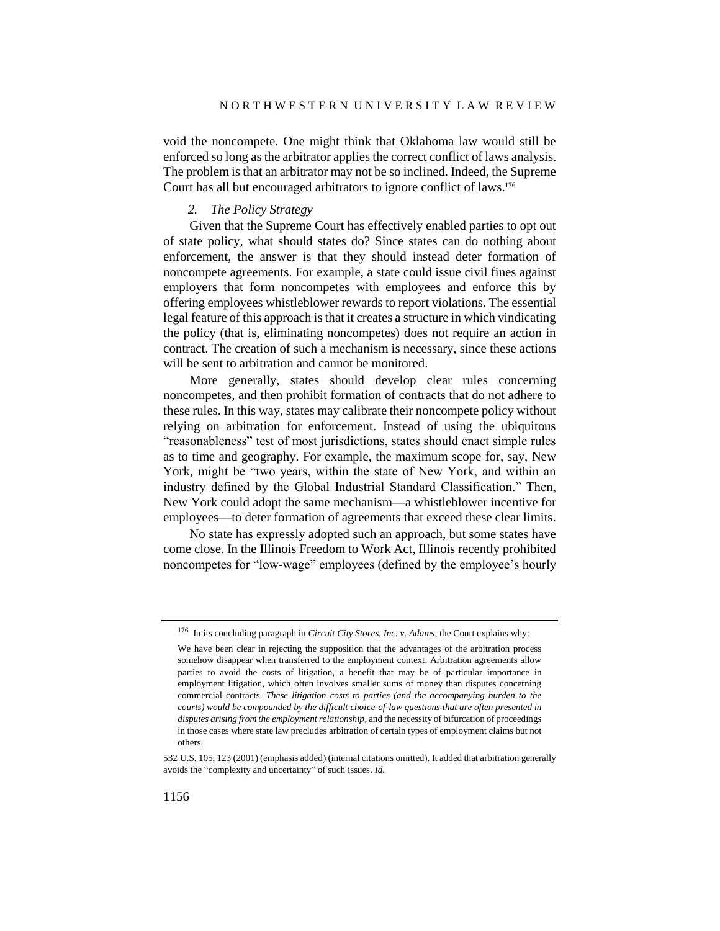void the noncompete. One might think that Oklahoma law would still be enforced so long as the arbitrator applies the correct conflict of laws analysis. The problem is that an arbitrator may not be so inclined. Indeed, the Supreme Court has all but encouraged arbitrators to ignore conflict of laws.<sup>176</sup>

### *2. The Policy Strategy*

Given that the Supreme Court has effectively enabled parties to opt out of state policy, what should states do? Since states can do nothing about enforcement, the answer is that they should instead deter formation of noncompete agreements. For example, a state could issue civil fines against employers that form noncompetes with employees and enforce this by offering employees whistleblower rewards to report violations. The essential legal feature of this approach is that it creates a structure in which vindicating the policy (that is, eliminating noncompetes) does not require an action in contract. The creation of such a mechanism is necessary, since these actions will be sent to arbitration and cannot be monitored.

More generally, states should develop clear rules concerning noncompetes, and then prohibit formation of contracts that do not adhere to these rules. In this way, states may calibrate their noncompete policy without relying on arbitration for enforcement. Instead of using the ubiquitous "reasonableness" test of most jurisdictions, states should enact simple rules as to time and geography. For example, the maximum scope for, say, New York, might be "two years, within the state of New York, and within an industry defined by the Global Industrial Standard Classification." Then, New York could adopt the same mechanism—a whistleblower incentive for employees—to deter formation of agreements that exceed these clear limits.

No state has expressly adopted such an approach, but some states have come close. In the Illinois Freedom to Work Act, Illinois recently prohibited noncompetes for "low-wage" employees (defined by the employee's hourly

<sup>176</sup> In its concluding paragraph in *Circuit City Stores, Inc. v. Adams*, the Court explains why:

We have been clear in rejecting the supposition that the advantages of the arbitration process somehow disappear when transferred to the employment context. Arbitration agreements allow parties to avoid the costs of litigation, a benefit that may be of particular importance in employment litigation, which often involves smaller sums of money than disputes concerning commercial contracts. *These litigation costs to parties (and the accompanying burden to the courts) would be compounded by the difficult choice-of-law questions that are often presented in disputes arising from the employment relationship*, and the necessity of bifurcation of proceedings in those cases where state law precludes arbitration of certain types of employment claims but not others.

<sup>532</sup> U.S. 105, 123 (2001) (emphasis added) (internal citations omitted). It added that arbitration generally avoids the "complexity and uncertainty" of such issues. *Id.*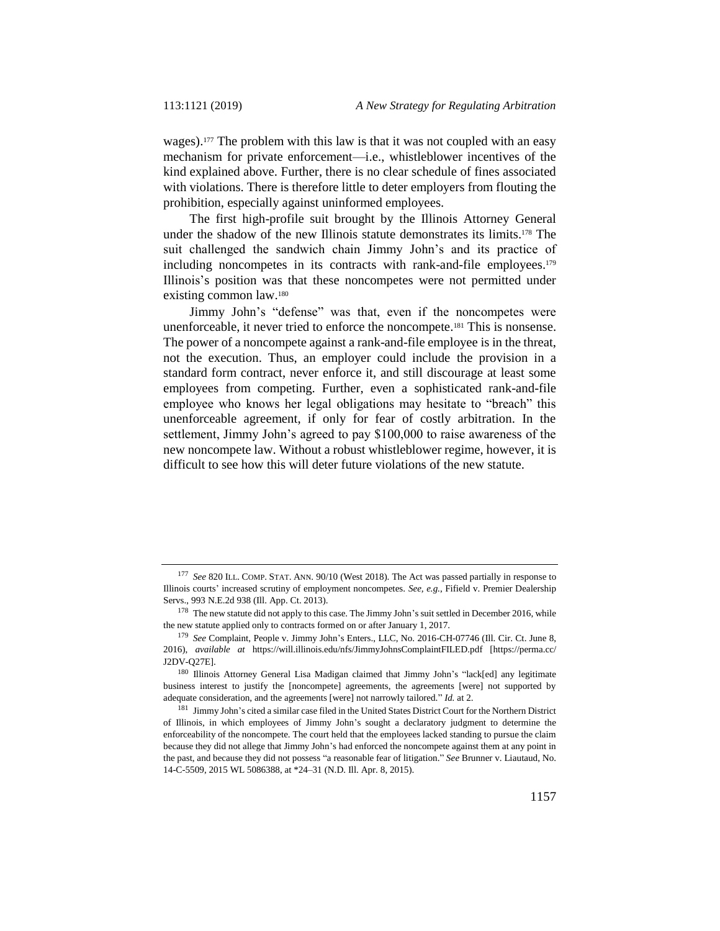wages).<sup>177</sup> The problem with this law is that it was not coupled with an easy mechanism for private enforcement—i.e., whistleblower incentives of the kind explained above. Further, there is no clear schedule of fines associated with violations. There is therefore little to deter employers from flouting the prohibition, especially against uninformed employees.

The first high-profile suit brought by the Illinois Attorney General under the shadow of the new Illinois statute demonstrates its limits.<sup>178</sup> The suit challenged the sandwich chain Jimmy John's and its practice of including noncompetes in its contracts with rank-and-file employees.<sup>179</sup> Illinois's position was that these noncompetes were not permitted under existing common law.<sup>180</sup>

Jimmy John's "defense" was that, even if the noncompetes were unenforceable, it never tried to enforce the noncompete.<sup>181</sup> This is nonsense. The power of a noncompete against a rank-and-file employee is in the threat, not the execution. Thus, an employer could include the provision in a standard form contract, never enforce it, and still discourage at least some employees from competing. Further, even a sophisticated rank-and-file employee who knows her legal obligations may hesitate to "breach" this unenforceable agreement, if only for fear of costly arbitration. In the settlement, Jimmy John's agreed to pay \$100,000 to raise awareness of the new noncompete law. Without a robust whistleblower regime, however, it is difficult to see how this will deter future violations of the new statute.

<sup>177</sup> *See* 820 ILL. COMP. STAT. ANN. 90/10 (West 2018). The Act was passed partially in response to Illinois courts' increased scrutiny of employment noncompetes. *See, e.g.*, Fifield v. Premier Dealership Servs., 993 N.E.2d 938 (Ill. App. Ct. 2013).

<sup>&</sup>lt;sup>178</sup> The new statute did not apply to this case. The Jimmy John's suit settled in December 2016, while the new statute applied only to contracts formed on or after January 1, 2017.

<sup>179</sup> *See* Complaint, People v. Jimmy John's Enters., LLC, No. 2016-CH-07746 (Ill. Cir. Ct. June 8, 2016), *available at* https://will.illinois.edu/nfs/JimmyJohnsComplaintFILED.pdf [https://perma.cc/ J2DV-Q27E].

<sup>&</sup>lt;sup>180</sup> Illinois Attorney General Lisa Madigan claimed that Jimmy John's "lack[ed] any legitimate business interest to justify the [noncompete] agreements, the agreements [were] not supported by adequate consideration, and the agreements [were] not narrowly tailored." *Id.* at 2.

<sup>&</sup>lt;sup>181</sup> Jimmy John's cited a similar case filed in the United States District Court for the Northern District of Illinois, in which employees of Jimmy John's sought a declaratory judgment to determine the enforceability of the noncompete. The court held that the employees lacked standing to pursue the claim because they did not allege that Jimmy John's had enforced the noncompete against them at any point in the past, and because they did not possess "a reasonable fear of litigation." *See* Brunner v. Liautaud, No. 14-C-5509, 2015 WL 5086388, at \*24–31 (N.D. Ill. Apr. 8, 2015).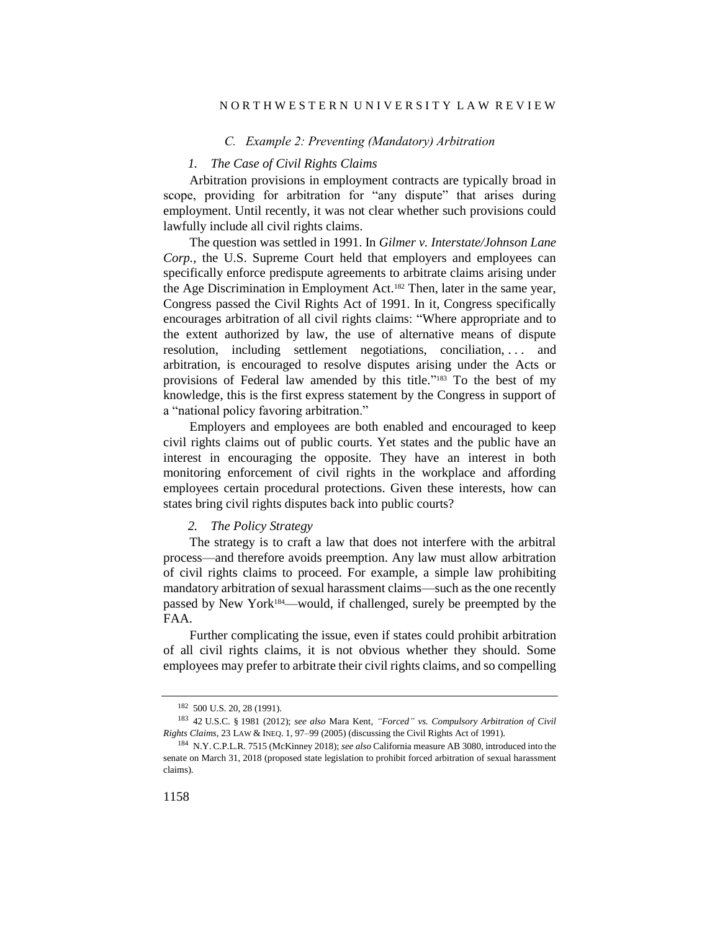#### N O R T H W E S T E R N U N I V E R S I T Y L A W R E V I E W

### *C. Example 2: Preventing (Mandatory) Arbitration*

#### *1. The Case of Civil Rights Claims*

Arbitration provisions in employment contracts are typically broad in scope, providing for arbitration for "any dispute" that arises during employment. Until recently, it was not clear whether such provisions could lawfully include all civil rights claims.

The question was settled in 1991. In *Gilmer v. Interstate/Johnson Lane Corp.*, the U.S. Supreme Court held that employers and employees can specifically enforce predispute agreements to arbitrate claims arising under the Age Discrimination in Employment Act.<sup>182</sup> Then, later in the same year, Congress passed the Civil Rights Act of 1991. In it, Congress specifically encourages arbitration of all civil rights claims: "Where appropriate and to the extent authorized by law, the use of alternative means of dispute resolution, including settlement negotiations, conciliation, ... and arbitration, is encouraged to resolve disputes arising under the Acts or provisions of Federal law amended by this title." <sup>183</sup> To the best of my knowledge, this is the first express statement by the Congress in support of a "national policy favoring arbitration."

Employers and employees are both enabled and encouraged to keep civil rights claims out of public courts. Yet states and the public have an interest in encouraging the opposite. They have an interest in both monitoring enforcement of civil rights in the workplace and affording employees certain procedural protections. Given these interests, how can states bring civil rights disputes back into public courts?

### *2. The Policy Strategy*

The strategy is to craft a law that does not interfere with the arbitral process—and therefore avoids preemption. Any law must allow arbitration of civil rights claims to proceed. For example, a simple law prohibiting mandatory arbitration of sexual harassment claims—such as the one recently passed by New York184—would, if challenged, surely be preempted by the FAA.

Further complicating the issue, even if states could prohibit arbitration of all civil rights claims, it is not obvious whether they should. Some employees may prefer to arbitrate their civil rights claims, and so compelling

<sup>182</sup> 500 U.S. 20, 28 (1991).

<sup>183</sup> 42 U.S.C. § 1981 (2012); *see also* Mara Kent, *"Forced" vs. Compulsory Arbitration of Civil Rights Claims*, 23 LAW & INEQ. 1, 97–99 (2005) (discussing the Civil Rights Act of 1991).

<sup>184</sup> N.Y. C.P.L.R. 7515 (McKinney 2018); *see also* California measure AB 3080, introduced into the senate on March 31, 2018 (proposed state legislation to prohibit forced arbitration of sexual harassment claims).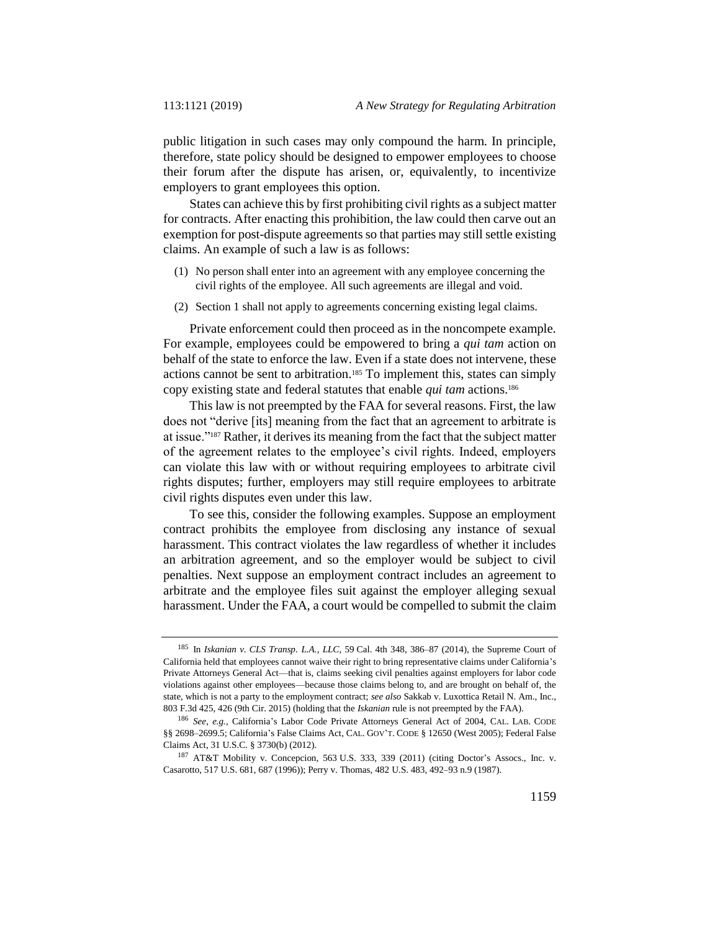public litigation in such cases may only compound the harm. In principle, therefore, state policy should be designed to empower employees to choose their forum after the dispute has arisen, or, equivalently, to incentivize employers to grant employees this option.

States can achieve this by first prohibiting civil rights as a subject matter for contracts. After enacting this prohibition, the law could then carve out an exemption for post-dispute agreements so that parties may still settle existing claims. An example of such a law is as follows:

- (1) No person shall enter into an agreement with any employee concerning the civil rights of the employee. All such agreements are illegal and void.
- (2) Section 1 shall not apply to agreements concerning existing legal claims.

Private enforcement could then proceed as in the noncompete example. For example, employees could be empowered to bring a *qui tam* action on behalf of the state to enforce the law. Even if a state does not intervene, these actions cannot be sent to arbitration.<sup>185</sup> To implement this, states can simply copy existing state and federal statutes that enable *qui tam* actions.<sup>186</sup>

This law is not preempted by the FAA for several reasons. First, the law does not "derive [its] meaning from the fact that an agreement to arbitrate is at issue."<sup>187</sup> Rather, it derives its meaning from the fact that the subject matter of the agreement relates to the employee's civil rights. Indeed, employers can violate this law with or without requiring employees to arbitrate civil rights disputes; further, employers may still require employees to arbitrate civil rights disputes even under this law.

To see this, consider the following examples. Suppose an employment contract prohibits the employee from disclosing any instance of sexual harassment. This contract violates the law regardless of whether it includes an arbitration agreement, and so the employer would be subject to civil penalties. Next suppose an employment contract includes an agreement to arbitrate and the employee files suit against the employer alleging sexual harassment. Under the FAA, a court would be compelled to submit the claim

<sup>185</sup> In *Iskanian v. CLS Transp. L.A., LLC*, 59 Cal. 4th 348, 386–87 (2014), the Supreme Court of California held that employees cannot waive their right to bring representative claims under California's Private Attorneys General Act—that is, claims seeking civil penalties against employers for labor code violations against other employees—because those claims belong to, and are brought on behalf of, the state, which is not a party to the employment contract; *see also* Sakkab v. Luxottica Retail N. Am., Inc., 803 F.3d 425, 426 (9th Cir. 2015) (holding that the *Iskanian* rule is not preempted by the FAA).

<sup>186</sup> *See, e.g.*, California's Labor Code Private Attorneys General Act of 2004, CAL. LAB. CODE §§ 2698–2699.5; California's False Claims Act, CAL. GOV'T. CODE § 12650 (West 2005); Federal False Claims Act, 31 U.S.C. § 3730(b) (2012).

<sup>187</sup> AT&T Mobility v. Concepcion, 563 U.S. 333, 339 (2011) (citing Doctor's Assocs., Inc. v. Casarotto, 517 U.S. 681, 687 (1996)); Perry v. Thomas, 482 U.S. 483, 492–93 n.9 (1987).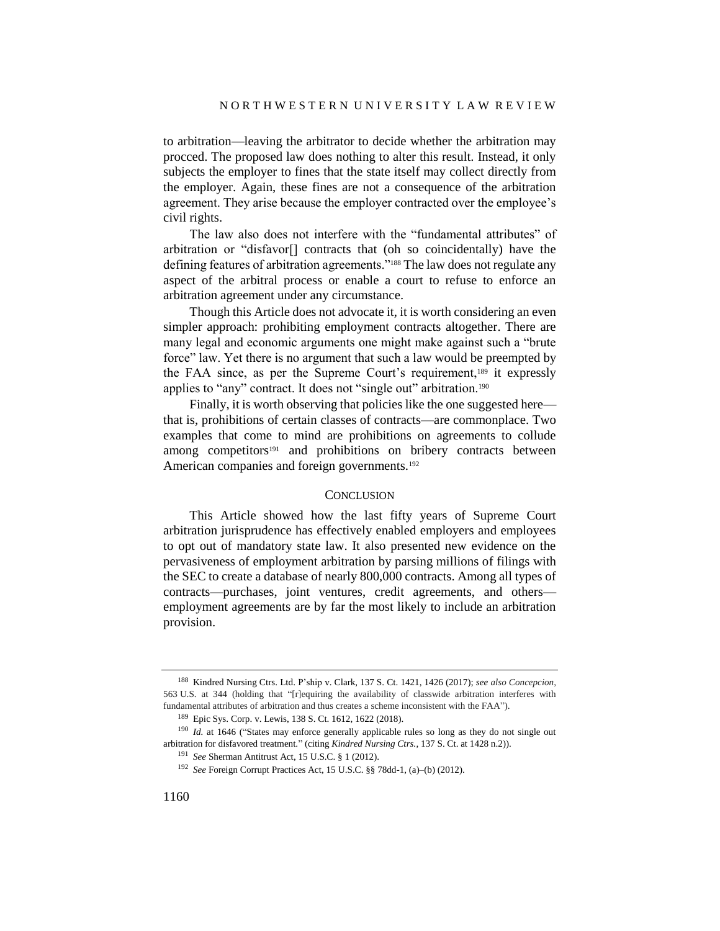to arbitration—leaving the arbitrator to decide whether the arbitration may procced. The proposed law does nothing to alter this result. Instead, it only subjects the employer to fines that the state itself may collect directly from the employer. Again, these fines are not a consequence of the arbitration agreement. They arise because the employer contracted over the employee's civil rights.

The law also does not interfere with the "fundamental attributes" of arbitration or "disfavor[] contracts that (oh so coincidentally) have the defining features of arbitration agreements."<sup>188</sup> The law does not regulate any aspect of the arbitral process or enable a court to refuse to enforce an arbitration agreement under any circumstance.

Though this Article does not advocate it, it is worth considering an even simpler approach: prohibiting employment contracts altogether. There are many legal and economic arguments one might make against such a "brute force" law. Yet there is no argument that such a law would be preempted by the FAA since, as per the Supreme Court's requirement,<sup>189</sup> it expressly applies to "any" contract. It does not "single out" arbitration.<sup>190</sup>

Finally, it is worth observing that policies like the one suggested here that is, prohibitions of certain classes of contracts—are commonplace. Two examples that come to mind are prohibitions on agreements to collude among competitors<sup>191</sup> and prohibitions on bribery contracts between American companies and foreign governments.<sup>192</sup>

#### **CONCLUSION**

This Article showed how the last fifty years of Supreme Court arbitration jurisprudence has effectively enabled employers and employees to opt out of mandatory state law. It also presented new evidence on the pervasiveness of employment arbitration by parsing millions of filings with the SEC to create a database of nearly 800,000 contracts. Among all types of contracts—purchases, joint ventures, credit agreements, and others employment agreements are by far the most likely to include an arbitration provision.

<sup>188</sup> Kindred Nursing Ctrs. Ltd. P'ship v. Clark, 137 S. Ct. 1421, 1426 (2017); *see also Concepcion*, 563 U.S. at 344 (holding that "[r]equiring the availability of classwide arbitration interferes with fundamental attributes of arbitration and thus creates a scheme inconsistent with the FAA").

<sup>189</sup> Epic Sys. Corp. v. Lewis, 138 S. Ct. 1612, 1622 (2018).

<sup>&</sup>lt;sup>190</sup> *Id.* at 1646 ("States may enforce generally applicable rules so long as they do not single out arbitration for disfavored treatment." (citing *Kindred Nursing Ctrs.*, 137 S. Ct. at 1428 n.2)).

<sup>191</sup> *See* Sherman Antitrust Act, 15 U.S.C. § 1 (2012).

<sup>192</sup> *See* Foreign Corrupt Practices Act, 15 U.S.C. §§ 78dd-1, (a)–(b) (2012).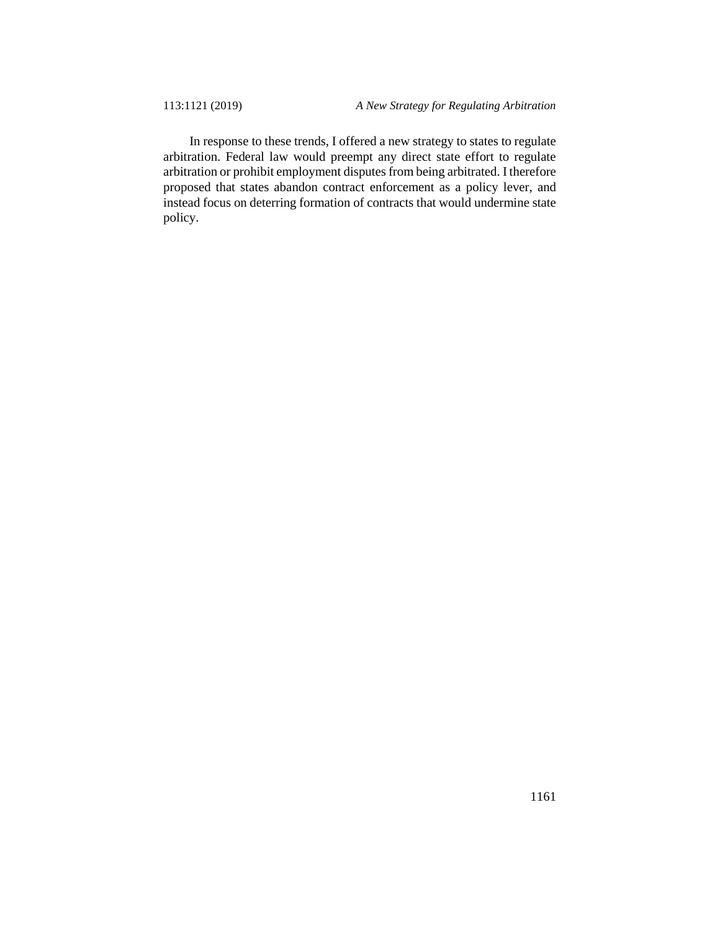In response to these trends, I offered a new strategy to states to regulate arbitration. Federal law would preempt any direct state effort to regulate arbitration or prohibit employment disputes from being arbitrated. I therefore proposed that states abandon contract enforcement as a policy lever, and instead focus on deterring formation of contracts that would undermine state policy.